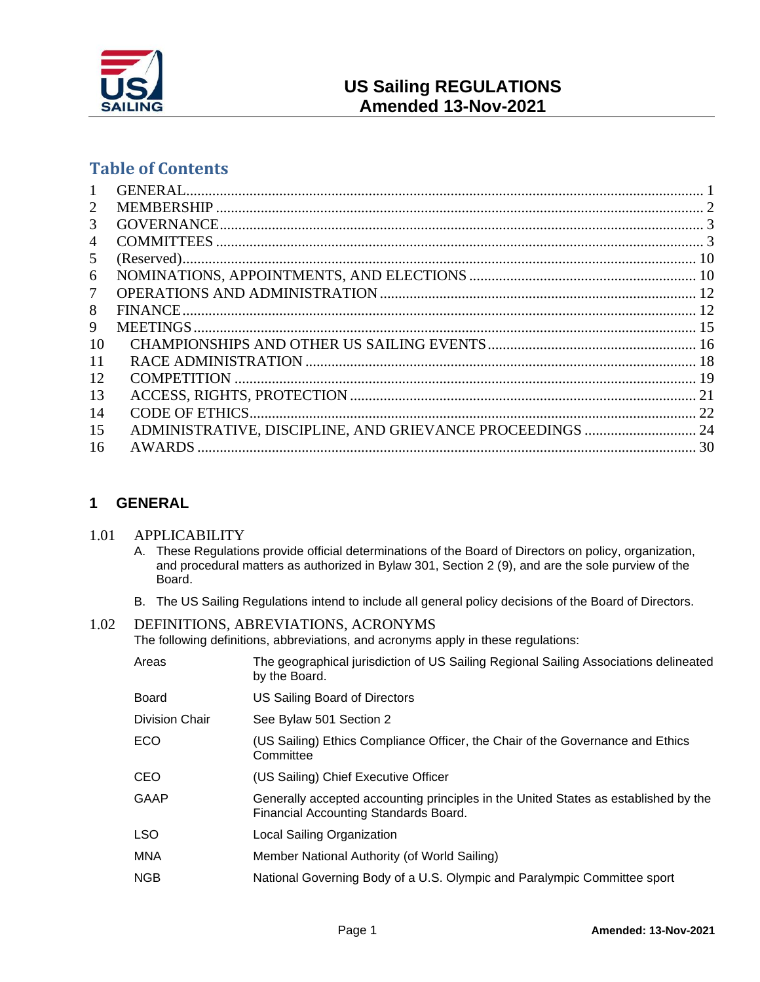

# **Table of Contents**

| $\mathbf{1}$    |                                                           |  |
|-----------------|-----------------------------------------------------------|--|
| 2               |                                                           |  |
| 3               |                                                           |  |
| $\overline{4}$  |                                                           |  |
| 5               |                                                           |  |
| 6               |                                                           |  |
| $7\phantom{.0}$ |                                                           |  |
| 8               |                                                           |  |
| 9               |                                                           |  |
| 10              |                                                           |  |
| 11              |                                                           |  |
| 12              |                                                           |  |
| 13              |                                                           |  |
| 14              |                                                           |  |
| 15              | ADMINISTRATIVE, DISCIPLINE, AND GRIEVANCE PROCEEDINGS  24 |  |
| 16              |                                                           |  |
|                 |                                                           |  |

# <span id="page-0-0"></span>**1 GENERAL**

## 1.01 APPLICABILITY

- A. These Regulations provide official determinations of the Board of Directors on policy, organization, and procedural matters as authorized in Bylaw 301, Section 2 (9), and are the sole purview of the Board.
- B. The US Sailing Regulations intend to include all general policy decisions of the Board of Directors.

# 1.02 DEFINITIONS, ABREVIATIONS, ACRONYMS

The following definitions, abbreviations, and acronyms apply in these regulations:

| Areas          | The geographical jurisdiction of US Sailing Regional Sailing Associations delineated<br>by the Board.                        |
|----------------|------------------------------------------------------------------------------------------------------------------------------|
| <b>Board</b>   | US Sailing Board of Directors                                                                                                |
| Division Chair | See Bylaw 501 Section 2                                                                                                      |
| <b>ECO</b>     | (US Sailing) Ethics Compliance Officer, the Chair of the Governance and Ethics<br>Committee                                  |
| <b>CEO</b>     | (US Sailing) Chief Executive Officer                                                                                         |
| GAAP           | Generally accepted accounting principles in the United States as established by the<br>Financial Accounting Standards Board. |
| LSO.           | Local Sailing Organization                                                                                                   |
| <b>MNA</b>     | Member National Authority (of World Sailing)                                                                                 |
| <b>NGB</b>     | National Governing Body of a U.S. Olympic and Paralympic Committee sport                                                     |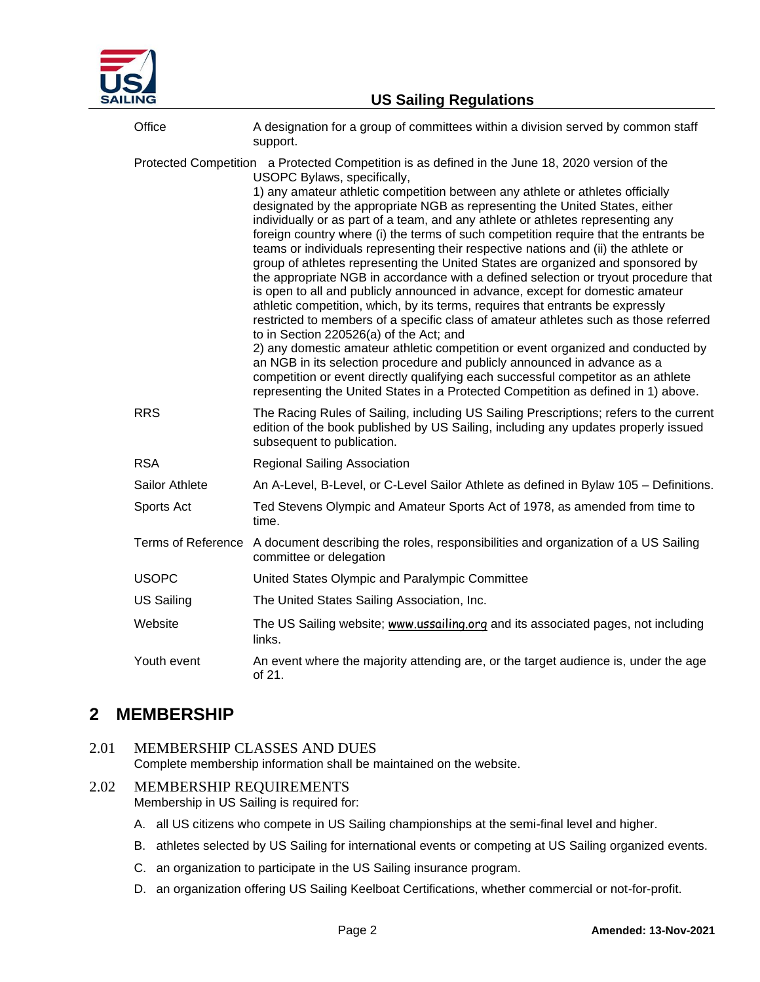

| Office                    | A designation for a group of committees within a division served by common staff<br>support.                                                                                                                                                                                                                                                                                                                                                                                                                                                                                                                                                                                                                                                                                                                                                                                                                                                                                                                                                                                                                                                                                                                                                                                                                                                                                               |
|---------------------------|--------------------------------------------------------------------------------------------------------------------------------------------------------------------------------------------------------------------------------------------------------------------------------------------------------------------------------------------------------------------------------------------------------------------------------------------------------------------------------------------------------------------------------------------------------------------------------------------------------------------------------------------------------------------------------------------------------------------------------------------------------------------------------------------------------------------------------------------------------------------------------------------------------------------------------------------------------------------------------------------------------------------------------------------------------------------------------------------------------------------------------------------------------------------------------------------------------------------------------------------------------------------------------------------------------------------------------------------------------------------------------------------|
|                           | Protected Competition a Protected Competition is as defined in the June 18, 2020 version of the<br>USOPC Bylaws, specifically,<br>1) any amateur athletic competition between any athlete or athletes officially<br>designated by the appropriate NGB as representing the United States, either<br>individually or as part of a team, and any athlete or athletes representing any<br>foreign country where (i) the terms of such competition require that the entrants be<br>teams or individuals representing their respective nations and (ii) the athlete or<br>group of athletes representing the United States are organized and sponsored by<br>the appropriate NGB in accordance with a defined selection or tryout procedure that<br>is open to all and publicly announced in advance, except for domestic amateur<br>athletic competition, which, by its terms, requires that entrants be expressly<br>restricted to members of a specific class of amateur athletes such as those referred<br>to in Section 220526(a) of the Act; and<br>2) any domestic amateur athletic competition or event organized and conducted by<br>an NGB in its selection procedure and publicly announced in advance as a<br>competition or event directly qualifying each successful competitor as an athlete<br>representing the United States in a Protected Competition as defined in 1) above. |
| <b>RRS</b>                | The Racing Rules of Sailing, including US Sailing Prescriptions; refers to the current<br>edition of the book published by US Sailing, including any updates properly issued<br>subsequent to publication.                                                                                                                                                                                                                                                                                                                                                                                                                                                                                                                                                                                                                                                                                                                                                                                                                                                                                                                                                                                                                                                                                                                                                                                 |
| <b>RSA</b>                | <b>Regional Sailing Association</b>                                                                                                                                                                                                                                                                                                                                                                                                                                                                                                                                                                                                                                                                                                                                                                                                                                                                                                                                                                                                                                                                                                                                                                                                                                                                                                                                                        |
| Sailor Athlete            | An A-Level, B-Level, or C-Level Sailor Athlete as defined in Bylaw 105 - Definitions.                                                                                                                                                                                                                                                                                                                                                                                                                                                                                                                                                                                                                                                                                                                                                                                                                                                                                                                                                                                                                                                                                                                                                                                                                                                                                                      |
| Sports Act                | Ted Stevens Olympic and Amateur Sports Act of 1978, as amended from time to<br>time.                                                                                                                                                                                                                                                                                                                                                                                                                                                                                                                                                                                                                                                                                                                                                                                                                                                                                                                                                                                                                                                                                                                                                                                                                                                                                                       |
| <b>Terms of Reference</b> | A document describing the roles, responsibilities and organization of a US Sailing<br>committee or delegation                                                                                                                                                                                                                                                                                                                                                                                                                                                                                                                                                                                                                                                                                                                                                                                                                                                                                                                                                                                                                                                                                                                                                                                                                                                                              |
| <b>USOPC</b>              | United States Olympic and Paralympic Committee                                                                                                                                                                                                                                                                                                                                                                                                                                                                                                                                                                                                                                                                                                                                                                                                                                                                                                                                                                                                                                                                                                                                                                                                                                                                                                                                             |
| <b>US Sailing</b>         | The United States Sailing Association, Inc.                                                                                                                                                                                                                                                                                                                                                                                                                                                                                                                                                                                                                                                                                                                                                                                                                                                                                                                                                                                                                                                                                                                                                                                                                                                                                                                                                |
| Website                   | The US Sailing website; www.ussailing.org and its associated pages, not including<br>links.                                                                                                                                                                                                                                                                                                                                                                                                                                                                                                                                                                                                                                                                                                                                                                                                                                                                                                                                                                                                                                                                                                                                                                                                                                                                                                |
| Youth event               | An event where the majority attending are, or the target audience is, under the age<br>of 21.                                                                                                                                                                                                                                                                                                                                                                                                                                                                                                                                                                                                                                                                                                                                                                                                                                                                                                                                                                                                                                                                                                                                                                                                                                                                                              |

# <span id="page-1-0"></span>**2 MEMBERSHIP**

## 2.01 MEMBERSHIP CLASSES AND DUES

Complete membership information shall be maintained on the website.

# 2.02 MEMBERSHIP REQUIREMENTS

Membership in US Sailing is required for:

- A. all US citizens who compete in US Sailing championships at the semi-final level and higher.
- B. athletes selected by US Sailing for international events or competing at US Sailing organized events.
- C. an organization to participate in the US Sailing insurance program.
- D. an organization offering US Sailing Keelboat Certifications, whether commercial or not-for-profit.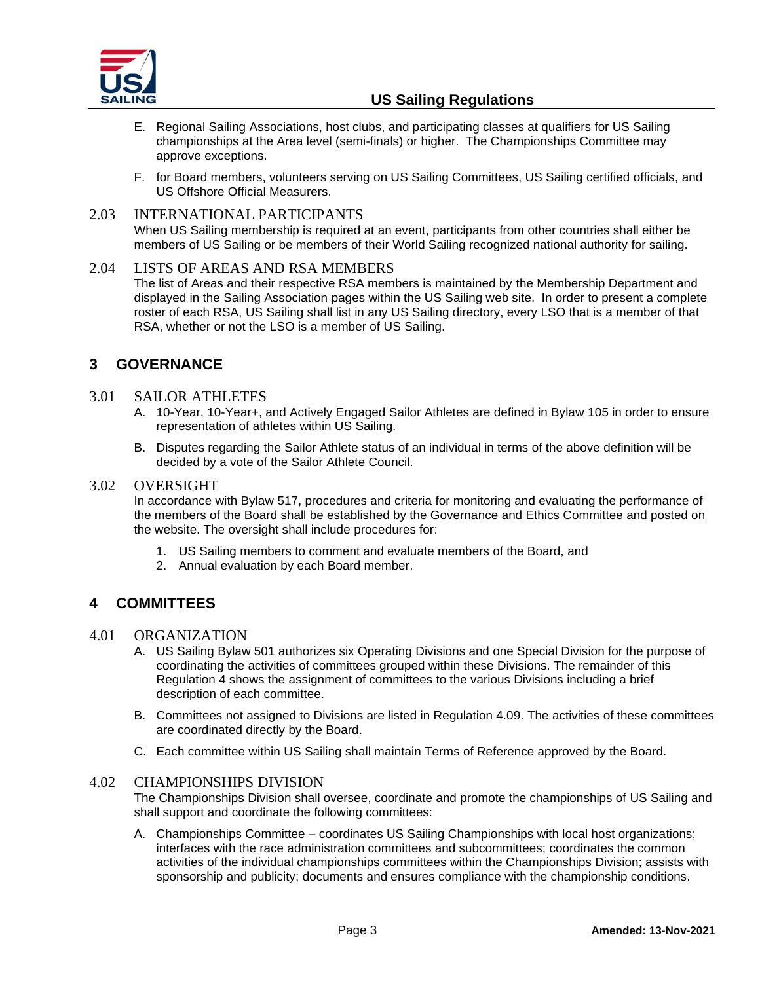

- E. Regional Sailing Associations, host clubs, and participating classes at qualifiers for US Sailing championships at the Area level (semi-finals) or higher. The Championships Committee may approve exceptions.
- F. for Board members, volunteers serving on US Sailing Committees, US Sailing certified officials, and US Offshore Official Measurers.

## 2.03 INTERNATIONAL PARTICIPANTS

When US Sailing membership is required at an event, participants from other countries shall either be members of US Sailing or be members of their World Sailing recognized national authority for sailing.

#### 2.04 LISTS OF AREAS AND RSA MEMBERS

The list of Areas and their respective RSA members is maintained by the Membership Department and displayed in the Sailing Association pages within the US Sailing web site. In order to present a complete roster of each RSA, US Sailing shall list in any US Sailing directory, every LSO that is a member of that RSA, whether or not the LSO is a member of US Sailing.

# <span id="page-2-0"></span>**3 GOVERNANCE**

## 3.01 SAILOR ATHLETES

- A. 10-Year, 10-Year+, and Actively Engaged Sailor Athletes are defined in Bylaw 105 in order to ensure representation of athletes within US Sailing.
- B. Disputes regarding the Sailor Athlete status of an individual in terms of the above definition will be decided by a vote of the Sailor Athlete Council.

#### 3.02 OVERSIGHT

In accordance with Bylaw 517, procedures and criteria for monitoring and evaluating the performance of the members of the Board shall be established by the Governance and Ethics Committee and posted on the website. The oversight shall include procedures for:

- 1. US Sailing members to comment and evaluate members of the Board, and
- 2. Annual evaluation by each Board member.

# <span id="page-2-1"></span>**4 COMMITTEES**

#### 4.01 ORGANIZATION

- A. US Sailing Bylaw 501 authorizes six Operating Divisions and one Special Division for the purpose of coordinating the activities of committees grouped within these Divisions. The remainder of this Regulation 4 shows the assignment of committees to the various Divisions including a brief description of each committee.
- B. Committees not assigned to Divisions are listed in Regulation 4.09. The activities of these committees are coordinated directly by the Board.
- C. Each committee within US Sailing shall maintain Terms of Reference approved by the Board.

#### 4.02 CHAMPIONSHIPS DIVISION

The Championships Division shall oversee, coordinate and promote the championships of US Sailing and shall support and coordinate the following committees:

A. Championships Committee – coordinates US Sailing Championships with local host organizations; interfaces with the race administration committees and subcommittees; coordinates the common activities of the individual championships committees within the Championships Division; assists with sponsorship and publicity; documents and ensures compliance with the championship conditions.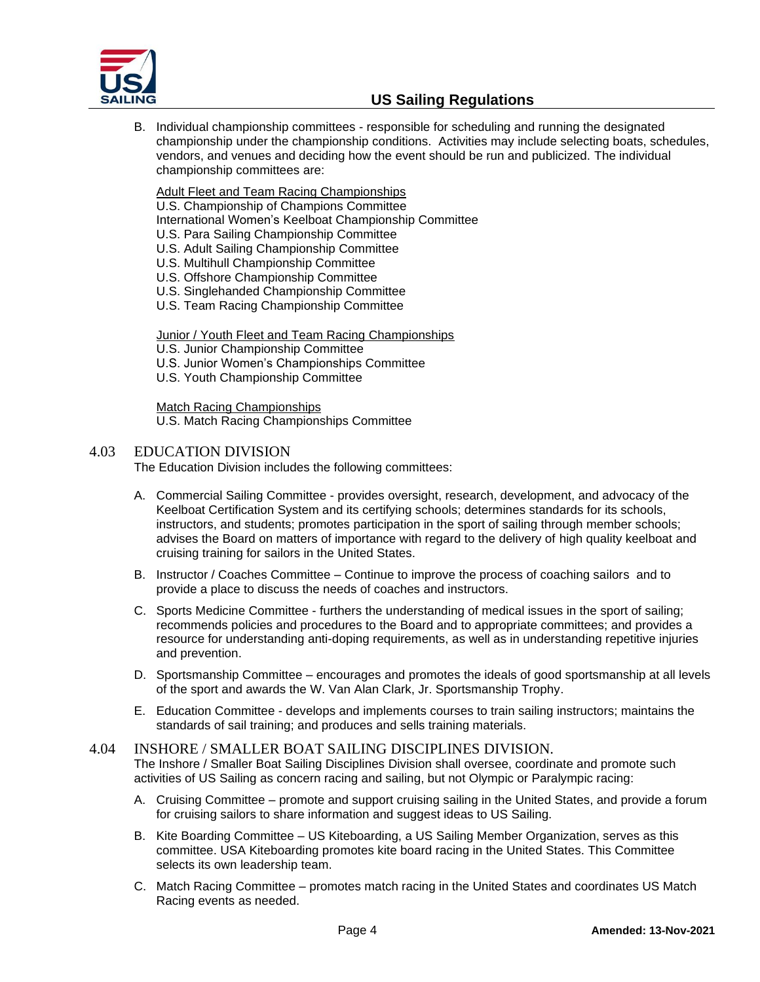

B. Individual championship committees - responsible for scheduling and running the designated championship under the championship conditions. Activities may include selecting boats, schedules, vendors, and venues and deciding how the event should be run and publicized. The individual championship committees are:

Adult Fleet and Team Racing Championships

U.S. Championship of Champions Committee

International Women's Keelboat Championship Committee

- U.S. Para Sailing Championship Committee
- U.S. Adult Sailing Championship Committee
- U.S. Multihull Championship Committee
- U.S. Offshore Championship Committee
- U.S. Singlehanded Championship Committee
- U.S. Team Racing Championship Committee

Junior / Youth Fleet and Team Racing Championships

- U.S. Junior Championship Committee
- U.S. Junior Women's Championships Committee
- U.S. Youth Championship Committee

Match Racing Championships U.S. Match Racing Championships Committee

## 4.03 EDUCATION DIVISION

The Education Division includes the following committees:

- A. Commercial Sailing Committee provides oversight, research, development, and advocacy of the Keelboat Certification System and its certifying schools; determines standards for its schools, instructors, and students; promotes participation in the sport of sailing through member schools; advises the Board on matters of importance with regard to the delivery of high quality keelboat and cruising training for sailors in the United States.
- B. Instructor / Coaches Committee Continue to improve the process of coaching sailors and to provide a place to discuss the needs of coaches and instructors.
- C. Sports Medicine Committee furthers the understanding of medical issues in the sport of sailing; recommends policies and procedures to the Board and to appropriate committees; and provides a resource for understanding anti-doping requirements, as well as in understanding repetitive injuries and prevention.
- D. Sportsmanship Committee encourages and promotes the ideals of good sportsmanship at all levels of the sport and awards the W. Van Alan Clark, Jr. Sportsmanship Trophy.
- E. Education Committee develops and implements courses to train sailing instructors; maintains the standards of sail training; and produces and sells training materials.

# 4.04 INSHORE / SMALLER BOAT SAILING DISCIPLINES DIVISION.

The Inshore / Smaller Boat Sailing Disciplines Division shall oversee, coordinate and promote such activities of US Sailing as concern racing and sailing, but not Olympic or Paralympic racing:

- A. Cruising Committee promote and support cruising sailing in the United States, and provide a forum for cruising sailors to share information and suggest ideas to US Sailing.
- B. Kite Boarding Committee US Kiteboarding, a US Sailing Member Organization, serves as this committee. USA Kiteboarding promotes kite board racing in the United States. This Committee selects its own leadership team.
- C. Match Racing Committee promotes match racing in the United States and coordinates US Match Racing events as needed.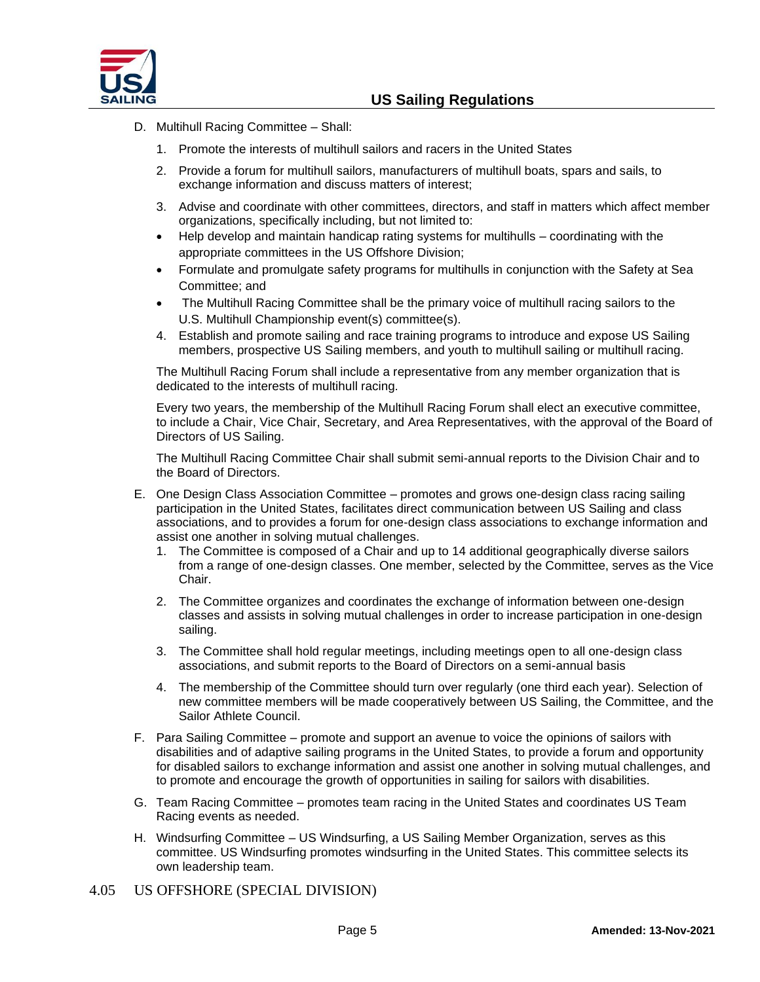

- D. Multihull Racing Committee Shall:
	- 1. Promote the interests of multihull sailors and racers in the United States
	- 2. Provide a forum for multihull sailors, manufacturers of multihull boats, spars and sails, to exchange information and discuss matters of interest;
	- 3. Advise and coordinate with other committees, directors, and staff in matters which affect member organizations, specifically including, but not limited to:
	- Help develop and maintain handicap rating systems for multihulls coordinating with the appropriate committees in the US Offshore Division;
	- Formulate and promulgate safety programs for multihulls in conjunction with the Safety at Sea Committee; and
	- The Multihull Racing Committee shall be the primary voice of multihull racing sailors to the U.S. Multihull Championship event(s) committee(s).
	- 4. Establish and promote sailing and race training programs to introduce and expose US Sailing members, prospective US Sailing members, and youth to multihull sailing or multihull racing.

The Multihull Racing Forum shall include a representative from any member organization that is dedicated to the interests of multihull racing.

Every two years, the membership of the Multihull Racing Forum shall elect an executive committee, to include a Chair, Vice Chair, Secretary, and Area Representatives, with the approval of the Board of Directors of US Sailing.

The Multihull Racing Committee Chair shall submit semi-annual reports to the Division Chair and to the Board of Directors.

- E. One Design Class Association Committee promotes and grows one-design class racing sailing participation in the United States, facilitates direct communication between US Sailing and class associations, and to provides a forum for one-design class associations to exchange information and assist one another in solving mutual challenges.
	- 1. The Committee is composed of a Chair and up to 14 additional geographically diverse sailors from a range of one-design classes. One member, selected by the Committee, serves as the Vice Chair.
	- 2. The Committee organizes and coordinates the exchange of information between one-design classes and assists in solving mutual challenges in order to increase participation in one-design sailing.
	- 3. The Committee shall hold regular meetings, including meetings open to all one-design class associations, and submit reports to the Board of Directors on a semi-annual basis
	- 4. The membership of the Committee should turn over regularly (one third each year). Selection of new committee members will be made cooperatively between US Sailing, the Committee, and the Sailor Athlete Council.
- F. Para Sailing Committee promote and support an avenue to voice the opinions of sailors with disabilities and of adaptive sailing programs in the United States, to provide a forum and opportunity for disabled sailors to exchange information and assist one another in solving mutual challenges, and to promote and encourage the growth of opportunities in sailing for sailors with disabilities.
- G. Team Racing Committee promotes team racing in the United States and coordinates US Team Racing events as needed.
- H. Windsurfing Committee US Windsurfing, a US Sailing Member Organization, serves as this committee. US Windsurfing promotes windsurfing in the United States. This committee selects its own leadership team.
- 4.05 US OFFSHORE (SPECIAL DIVISION)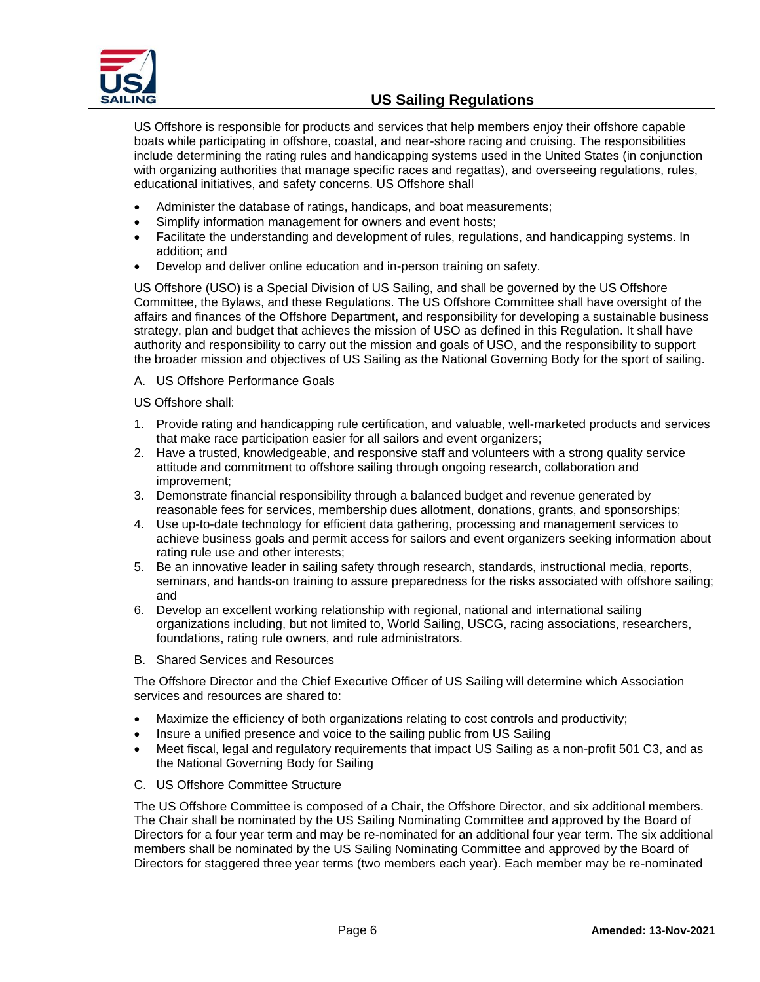

US Offshore is responsible for products and services that help members enjoy their offshore capable boats while participating in offshore, coastal, and near-shore racing and cruising. The responsibilities include determining the rating rules and handicapping systems used in the United States (in conjunction with organizing authorities that manage specific races and regattas), and overseeing regulations, rules, educational initiatives, and safety concerns. US Offshore shall

- Administer the database of ratings, handicaps, and boat measurements;
- Simplify information management for owners and event hosts;
- Facilitate the understanding and development of rules, regulations, and handicapping systems. In addition; and
- Develop and deliver online education and in-person training on safety.

US Offshore (USO) is a Special Division of US Sailing, and shall be governed by the US Offshore Committee, the Bylaws, and these Regulations. The US Offshore Committee shall have oversight of the affairs and finances of the Offshore Department, and responsibility for developing a sustainable business strategy, plan and budget that achieves the mission of USO as defined in this Regulation. It shall have authority and responsibility to carry out the mission and goals of USO, and the responsibility to support the broader mission and objectives of US Sailing as the National Governing Body for the sport of sailing.

A. US Offshore Performance Goals

US Offshore shall:

- 1. Provide rating and handicapping rule certification, and valuable, well-marketed products and services that make race participation easier for all sailors and event organizers;
- 2. Have a trusted, knowledgeable, and responsive staff and volunteers with a strong quality service attitude and commitment to offshore sailing through ongoing research, collaboration and improvement;
- 3. Demonstrate financial responsibility through a balanced budget and revenue generated by reasonable fees for services, membership dues allotment, donations, grants, and sponsorships;
- 4. Use up-to-date technology for efficient data gathering, processing and management services to achieve business goals and permit access for sailors and event organizers seeking information about rating rule use and other interests;
- 5. Be an innovative leader in sailing safety through research, standards, instructional media, reports, seminars, and hands-on training to assure preparedness for the risks associated with offshore sailing; and
- 6. Develop an excellent working relationship with regional, national and international sailing organizations including, but not limited to, World Sailing, USCG, racing associations, researchers, foundations, rating rule owners, and rule administrators.
- B. Shared Services and Resources

The Offshore Director and the Chief Executive Officer of US Sailing will determine which Association services and resources are shared to:

- Maximize the efficiency of both organizations relating to cost controls and productivity;
- Insure a unified presence and voice to the sailing public from US Sailing
- Meet fiscal, legal and regulatory requirements that impact US Sailing as a non-profit 501 C3, and as the National Governing Body for Sailing
- C. US Offshore Committee Structure

The US Offshore Committee is composed of a Chair, the Offshore Director, and six additional members. The Chair shall be nominated by the US Sailing Nominating Committee and approved by the Board of Directors for a four year term and may be re-nominated for an additional four year term. The six additional members shall be nominated by the US Sailing Nominating Committee and approved by the Board of Directors for staggered three year terms (two members each year). Each member may be re-nominated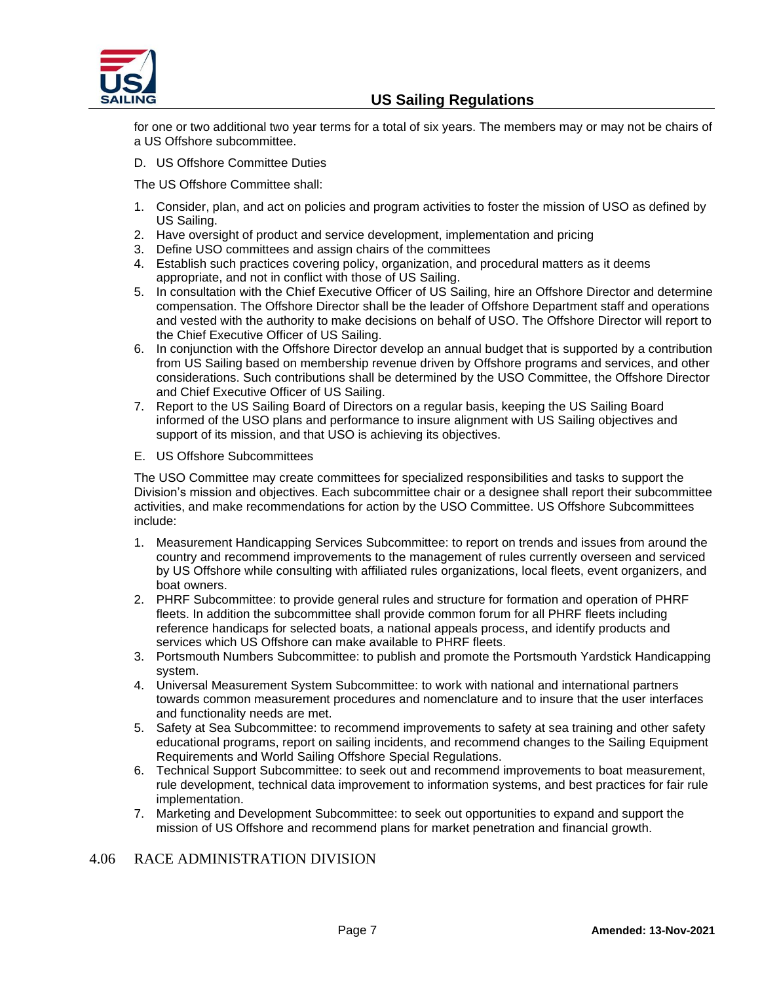

for one or two additional two year terms for a total of six years. The members may or may not be chairs of a US Offshore subcommittee.

D. US Offshore Committee Duties

The US Offshore Committee shall:

- 1. Consider, plan, and act on policies and program activities to foster the mission of USO as defined by US Sailing.
- 2. Have oversight of product and service development, implementation and pricing
- 3. Define USO committees and assign chairs of the committees
- 4. Establish such practices covering policy, organization, and procedural matters as it deems appropriate, and not in conflict with those of US Sailing.
- 5. In consultation with the Chief Executive Officer of US Sailing, hire an Offshore Director and determine compensation. The Offshore Director shall be the leader of Offshore Department staff and operations and vested with the authority to make decisions on behalf of USO. The Offshore Director will report to the Chief Executive Officer of US Sailing.
- 6. In conjunction with the Offshore Director develop an annual budget that is supported by a contribution from US Sailing based on membership revenue driven by Offshore programs and services, and other considerations. Such contributions shall be determined by the USO Committee, the Offshore Director and Chief Executive Officer of US Sailing.
- 7. Report to the US Sailing Board of Directors on a regular basis, keeping the US Sailing Board informed of the USO plans and performance to insure alignment with US Sailing objectives and support of its mission, and that USO is achieving its objectives.
- E. US Offshore Subcommittees

The USO Committee may create committees for specialized responsibilities and tasks to support the Division's mission and objectives. Each subcommittee chair or a designee shall report their subcommittee activities, and make recommendations for action by the USO Committee. US Offshore Subcommittees include:

- 1. Measurement Handicapping Services Subcommittee: to report on trends and issues from around the country and recommend improvements to the management of rules currently overseen and serviced by US Offshore while consulting with affiliated rules organizations, local fleets, event organizers, and boat owners.
- 2. PHRF Subcommittee: to provide general rules and structure for formation and operation of PHRF fleets. In addition the subcommittee shall provide common forum for all PHRF fleets including reference handicaps for selected boats, a national appeals process, and identify products and services which US Offshore can make available to PHRF fleets.
- 3. Portsmouth Numbers Subcommittee: to publish and promote the Portsmouth Yardstick Handicapping system.
- 4. Universal Measurement System Subcommittee: to work with national and international partners towards common measurement procedures and nomenclature and to insure that the user interfaces and functionality needs are met.
- 5. Safety at Sea Subcommittee: to recommend improvements to safety at sea training and other safety educational programs, report on sailing incidents, and recommend changes to the Sailing Equipment Requirements and World Sailing Offshore Special Regulations.
- 6. Technical Support Subcommittee: to seek out and recommend improvements to boat measurement, rule development, technical data improvement to information systems, and best practices for fair rule implementation.
- 7. Marketing and Development Subcommittee: to seek out opportunities to expand and support the mission of US Offshore and recommend plans for market penetration and financial growth.

## 4.06 RACE ADMINISTRATION DIVISION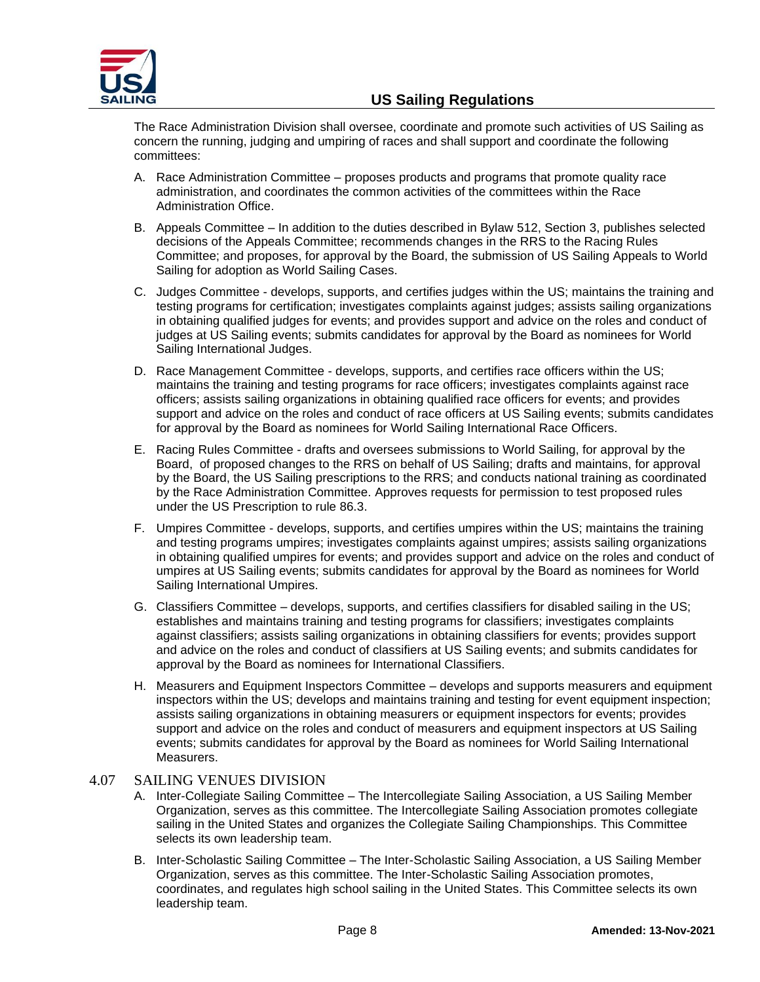

The Race Administration Division shall oversee, coordinate and promote such activities of US Sailing as concern the running, judging and umpiring of races and shall support and coordinate the following committees:

- A. Race Administration Committee proposes products and programs that promote quality race administration, and coordinates the common activities of the committees within the Race Administration Office.
- B. Appeals Committee In addition to the duties described in Bylaw 512, Section 3, publishes selected decisions of the Appeals Committee; recommends changes in the RRS to the Racing Rules Committee; and proposes, for approval by the Board, the submission of US Sailing Appeals to World Sailing for adoption as World Sailing Cases.
- C. Judges Committee develops, supports, and certifies judges within the US; maintains the training and testing programs for certification; investigates complaints against judges; assists sailing organizations in obtaining qualified judges for events; and provides support and advice on the roles and conduct of judges at US Sailing events; submits candidates for approval by the Board as nominees for World Sailing International Judges.
- D. Race Management Committee develops, supports, and certifies race officers within the US; maintains the training and testing programs for race officers; investigates complaints against race officers; assists sailing organizations in obtaining qualified race officers for events; and provides support and advice on the roles and conduct of race officers at US Sailing events; submits candidates for approval by the Board as nominees for World Sailing International Race Officers.
- E. Racing Rules Committee drafts and oversees submissions to World Sailing, for approval by the Board, of proposed changes to the RRS on behalf of US Sailing; drafts and maintains, for approval by the Board, the US Sailing prescriptions to the RRS; and conducts national training as coordinated by the Race Administration Committee. Approves requests for permission to test proposed rules under the US Prescription to rule 86.3.
- F. Umpires Committee develops, supports, and certifies umpires within the US; maintains the training and testing programs umpires; investigates complaints against umpires; assists sailing organizations in obtaining qualified umpires for events; and provides support and advice on the roles and conduct of umpires at US Sailing events; submits candidates for approval by the Board as nominees for World Sailing International Umpires.
- G. Classifiers Committee develops, supports, and certifies classifiers for disabled sailing in the US; establishes and maintains training and testing programs for classifiers; investigates complaints against classifiers; assists sailing organizations in obtaining classifiers for events; provides support and advice on the roles and conduct of classifiers at US Sailing events; and submits candidates for approval by the Board as nominees for International Classifiers.
- H. Measurers and Equipment Inspectors Committee develops and supports measurers and equipment inspectors within the US; develops and maintains training and testing for event equipment inspection; assists sailing organizations in obtaining measurers or equipment inspectors for events; provides support and advice on the roles and conduct of measurers and equipment inspectors at US Sailing events; submits candidates for approval by the Board as nominees for World Sailing International Measurers.

## 4.07 SAILING VENUES DIVISION

- A. Inter-Collegiate Sailing Committee The Intercollegiate Sailing Association, a US Sailing Member Organization, serves as this committee. The Intercollegiate Sailing Association promotes collegiate sailing in the United States and organizes the Collegiate Sailing Championships. This Committee selects its own leadership team.
- B. Inter-Scholastic Sailing Committee The Inter-Scholastic Sailing Association, a US Sailing Member Organization, serves as this committee. The Inter-Scholastic Sailing Association promotes, coordinates, and regulates high school sailing in the United States. This Committee selects its own leadership team.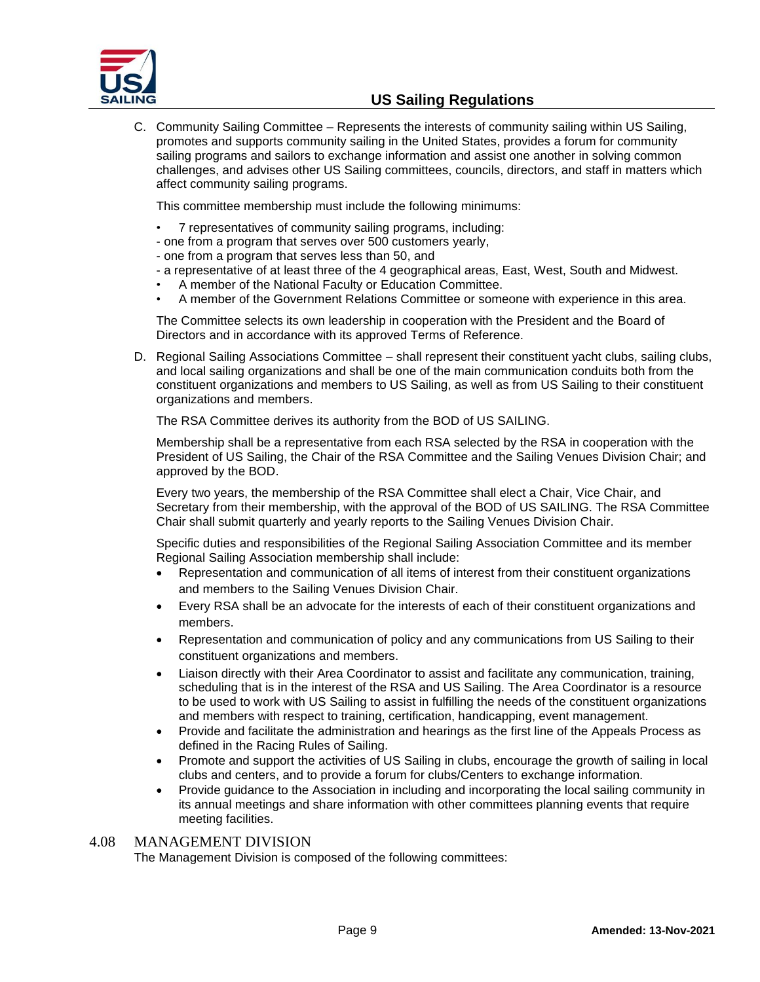

C. Community Sailing Committee – Represents the interests of community sailing within US Sailing, promotes and supports community sailing in the United States, provides a forum for community sailing programs and sailors to exchange information and assist one another in solving common challenges, and advises other US Sailing committees, councils, directors, and staff in matters which affect community sailing programs.

This committee membership must include the following minimums:

- 7 representatives of community sailing programs, including:
- one from a program that serves over 500 customers yearly,
- one from a program that serves less than 50, and
- a representative of at least three of the 4 geographical areas, East, West, South and Midwest.
- A member of the National Faculty or Education Committee.
	- A member of the Government Relations Committee or someone with experience in this area.

The Committee selects its own leadership in cooperation with the President and the Board of Directors and in accordance with its approved Terms of Reference.

D. Regional Sailing Associations Committee – shall represent their constituent yacht clubs, sailing clubs, and local sailing organizations and shall be one of the main communication conduits both from the constituent organizations and members to US Sailing, as well as from US Sailing to their constituent organizations and members.

The RSA Committee derives its authority from the BOD of US SAILING.

Membership shall be a representative from each RSA selected by the RSA in cooperation with the President of US Sailing, the Chair of the RSA Committee and the Sailing Venues Division Chair; and approved by the BOD.

Every two years, the membership of the RSA Committee shall elect a Chair, Vice Chair, and Secretary from their membership, with the approval of the BOD of US SAILING. The RSA Committee Chair shall submit quarterly and yearly reports to the Sailing Venues Division Chair.

Specific duties and responsibilities of the Regional Sailing Association Committee and its member Regional Sailing Association membership shall include:

- Representation and communication of all items of interest from their constituent organizations and members to the Sailing Venues Division Chair.
- Every RSA shall be an advocate for the interests of each of their constituent organizations and members.
- Representation and communication of policy and any communications from US Sailing to their constituent organizations and members.
- Liaison directly with their Area Coordinator to assist and facilitate any communication, training, scheduling that is in the interest of the RSA and US Sailing. The Area Coordinator is a resource to be used to work with US Sailing to assist in fulfilling the needs of the constituent organizations and members with respect to training, certification, handicapping, event management.
- Provide and facilitate the administration and hearings as the first line of the Appeals Process as defined in the Racing Rules of Sailing.
- Promote and support the activities of US Sailing in clubs, encourage the growth of sailing in local clubs and centers, and to provide a forum for clubs/Centers to exchange information.
- Provide guidance to the Association in including and incorporating the local sailing community in its annual meetings and share information with other committees planning events that require meeting facilities.

## 4.08 MANAGEMENT DIVISION

The Management Division is composed of the following committees: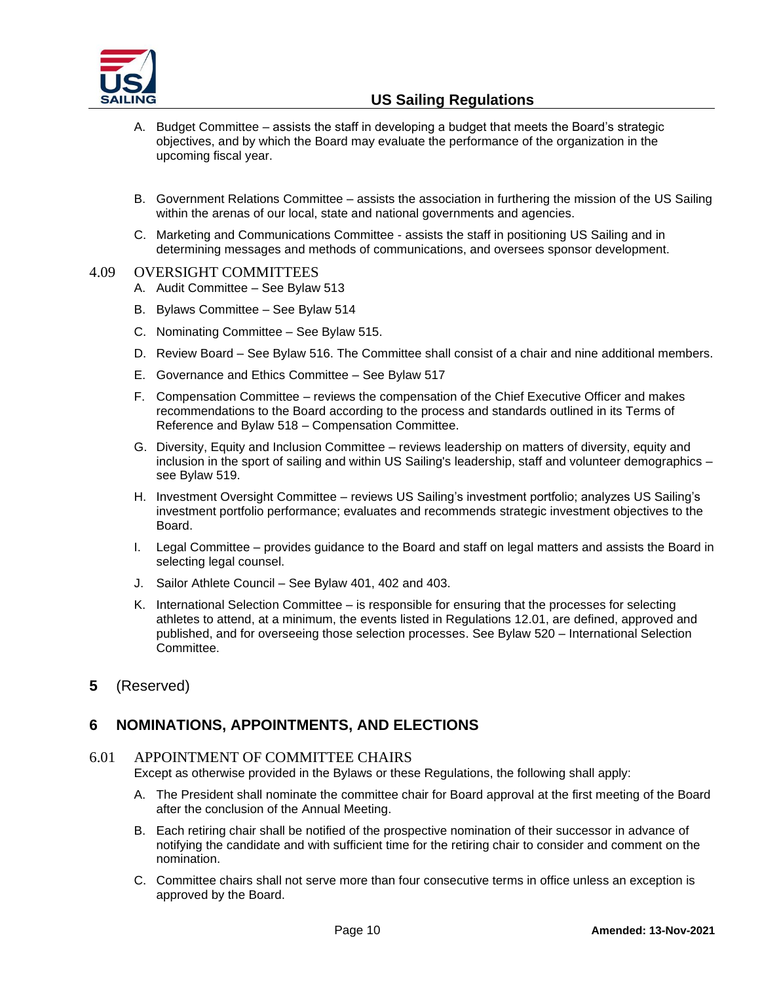

- A. Budget Committee assists the staff in developing a budget that meets the Board's strategic objectives, and by which the Board may evaluate the performance of the organization in the upcoming fiscal year.
- B. Government Relations Committee assists the association in furthering the mission of the US Sailing within the arenas of our local, state and national governments and agencies.
- C. Marketing and Communications Committee assists the staff in positioning US Sailing and in determining messages and methods of communications, and oversees sponsor development.

#### 4.09 OVERSIGHT COMMITTEES

- A. Audit Committee See Bylaw 513
- B. Bylaws Committee See Bylaw 514
- C. Nominating Committee See Bylaw 515.
- D. Review Board See Bylaw 516. The Committee shall consist of a chair and nine additional members.
- E. Governance and Ethics Committee See Bylaw 517
- F. Compensation Committee reviews the compensation of the Chief Executive Officer and makes recommendations to the Board according to the process and standards outlined in its Terms of Reference and Bylaw 518 – Compensation Committee.
- G. Diversity, Equity and Inclusion Committee reviews leadership on matters of diversity, equity and inclusion in the sport of sailing and within US Sailing's leadership, staff and volunteer demographics – see Bylaw 519.
- H. Investment Oversight Committee reviews US Sailing's investment portfolio; analyzes US Sailing's investment portfolio performance; evaluates and recommends strategic investment objectives to the Board.
- I. Legal Committee provides guidance to the Board and staff on legal matters and assists the Board in selecting legal counsel.
- J. Sailor Athlete Council See Bylaw 401, 402 and 403.
- K. International Selection Committee is responsible for ensuring that the processes for selecting athletes to attend, at a minimum, the events listed in Regulations 12.01, are defined, approved and published, and for overseeing those selection processes. See Bylaw 520 – International Selection Committee.
- <span id="page-9-0"></span>**5** (Reserved)

# <span id="page-9-1"></span>**6 NOMINATIONS, APPOINTMENTS, AND ELECTIONS**

## 6.01 APPOINTMENT OF COMMITTEE CHAIRS

Except as otherwise provided in the Bylaws or these Regulations, the following shall apply:

- A. The President shall nominate the committee chair for Board approval at the first meeting of the Board after the conclusion of the Annual Meeting.
- B. Each retiring chair shall be notified of the prospective nomination of their successor in advance of notifying the candidate and with sufficient time for the retiring chair to consider and comment on the nomination.
- C. Committee chairs shall not serve more than four consecutive terms in office unless an exception is approved by the Board.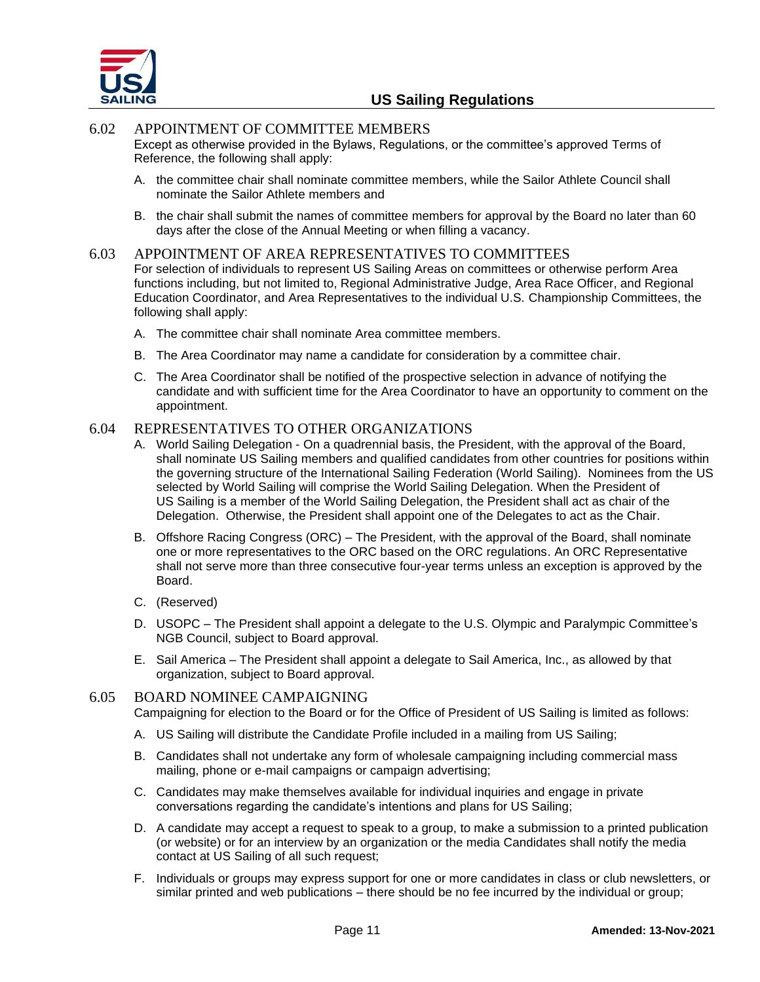

## 6.02 APPOINTMENT OF COMMITTEE MEMBERS

Except as otherwise provided in the Bylaws, Regulations, or the committee's approved Terms of Reference, the following shall apply:

- A. the committee chair shall nominate committee members, while the Sailor Athlete Council shall nominate the Sailor Athlete members and
- B. the chair shall submit the names of committee members for approval by the Board no later than 60 days after the close of the Annual Meeting or when filling a vacancy.

#### 6.03 APPOINTMENT OF AREA REPRESENTATIVES TO COMMITTEES

For selection of individuals to represent US Sailing Areas on committees or otherwise perform Area functions including, but not limited to, Regional Administrative Judge, Area Race Officer, and Regional Education Coordinator, and Area Representatives to the individual U.S. Championship Committees, the following shall apply:

- A. The committee chair shall nominate Area committee members.
- B. The Area Coordinator may name a candidate for consideration by a committee chair.
- C. The Area Coordinator shall be notified of the prospective selection in advance of notifying the candidate and with sufficient time for the Area Coordinator to have an opportunity to comment on the appointment.

#### 6.04 REPRESENTATIVES TO OTHER ORGANIZATIONS

- A. World Sailing Delegation On a quadrennial basis, the President, with the approval of the Board, shall nominate US Sailing members and qualified candidates from other countries for positions within the governing structure of the International Sailing Federation (World Sailing). Nominees from the US selected by World Sailing will comprise the World Sailing Delegation. When the President of US Sailing is a member of the World Sailing Delegation, the President shall act as chair of the Delegation. Otherwise, the President shall appoint one of the Delegates to act as the Chair.
- B. Offshore Racing Congress (ORC) The President, with the approval of the Board, shall nominate one or more representatives to the ORC based on the ORC regulations. An ORC Representative shall not serve more than three consecutive four-year terms unless an exception is approved by the Board.
- C. (Reserved)
- D. USOPC The President shall appoint a delegate to the U.S. Olympic and Paralympic Committee's NGB Council, subject to Board approval.
- E. Sail America The President shall appoint a delegate to Sail America, Inc., as allowed by that organization, subject to Board approval.

#### 6.05 BOARD NOMINEE CAMPAIGNING

Campaigning for election to the Board or for the Office of President of US Sailing is limited as follows:

- A. US Sailing will distribute the Candidate Profile included in a mailing from US Sailing;
- B. Candidates shall not undertake any form of wholesale campaigning including commercial mass mailing, phone or e-mail campaigns or campaign advertising;
- C. Candidates may make themselves available for individual inquiries and engage in private conversations regarding the candidate's intentions and plans for US Sailing;
- D. A candidate may accept a request to speak to a group, to make a submission to a printed publication (or website) or for an interview by an organization or the media Candidates shall notify the media contact at US Sailing of all such request;
- F. Individuals or groups may express support for one or more candidates in class or club newsletters, or similar printed and web publications – there should be no fee incurred by the individual or group;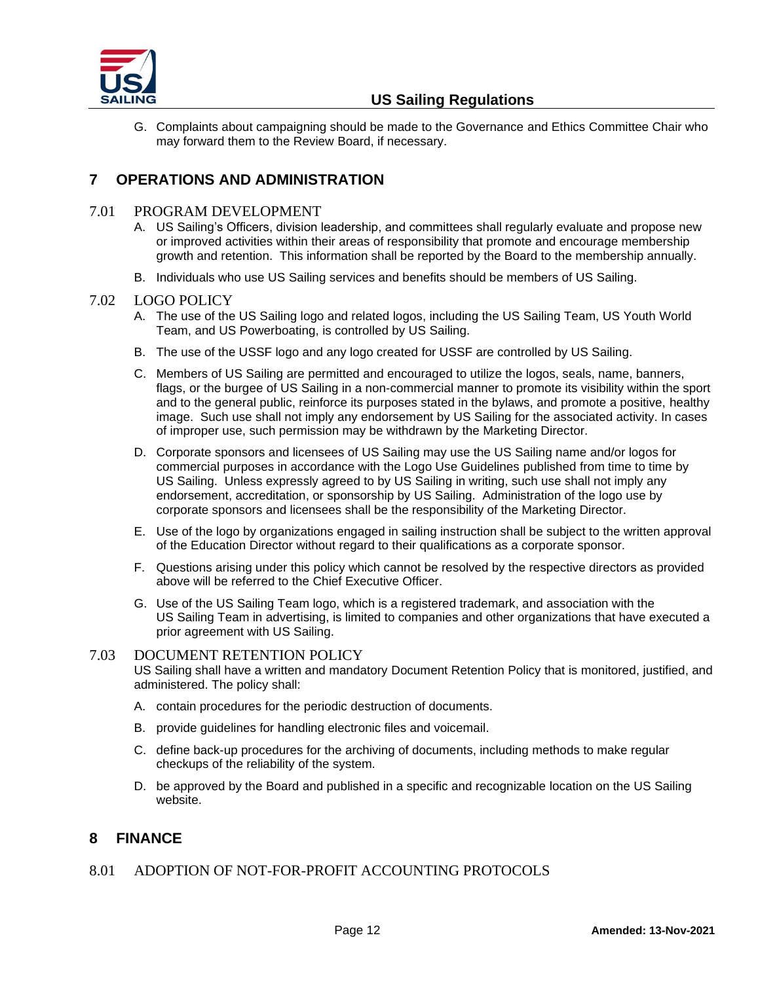

G. Complaints about campaigning should be made to the Governance and Ethics Committee Chair who may forward them to the Review Board, if necessary.

# <span id="page-11-0"></span>**7 OPERATIONS AND ADMINISTRATION**

## 7.01 PROGRAM DEVELOPMENT

- A. US Sailing's Officers, division leadership, and committees shall regularly evaluate and propose new or improved activities within their areas of responsibility that promote and encourage membership growth and retention. This information shall be reported by the Board to the membership annually.
- B. Individuals who use US Sailing services and benefits should be members of US Sailing.

## 7.02 LOGO POLICY

- A. The use of the US Sailing logo and related logos, including the US Sailing Team, US Youth World Team, and US Powerboating, is controlled by US Sailing.
- B. The use of the USSF logo and any logo created for USSF are controlled by US Sailing.
- C. Members of US Sailing are permitted and encouraged to utilize the logos, seals, name, banners, flags, or the burgee of US Sailing in a non-commercial manner to promote its visibility within the sport and to the general public, reinforce its purposes stated in the bylaws, and promote a positive, healthy image. Such use shall not imply any endorsement by US Sailing for the associated activity. In cases of improper use, such permission may be withdrawn by the Marketing Director.
- D. Corporate sponsors and licensees of US Sailing may use the US Sailing name and/or logos for commercial purposes in accordance with the Logo Use Guidelines published from time to time by US Sailing. Unless expressly agreed to by US Sailing in writing, such use shall not imply any endorsement, accreditation, or sponsorship by US Sailing. Administration of the logo use by corporate sponsors and licensees shall be the responsibility of the Marketing Director.
- E. Use of the logo by organizations engaged in sailing instruction shall be subject to the written approval of the Education Director without regard to their qualifications as a corporate sponsor.
- F. Questions arising under this policy which cannot be resolved by the respective directors as provided above will be referred to the Chief Executive Officer.
- G. Use of the US Sailing Team logo, which is a registered trademark, and association with the US Sailing Team in advertising, is limited to companies and other organizations that have executed a prior agreement with US Sailing.

## 7.03 DOCUMENT RETENTION POLICY

US Sailing shall have a written and mandatory Document Retention Policy that is monitored, justified, and administered. The policy shall:

- A. contain procedures for the periodic destruction of documents.
- B. provide guidelines for handling electronic files and voicemail.
- C. define back-up procedures for the archiving of documents, including methods to make regular checkups of the reliability of the system.
- D. be approved by the Board and published in a specific and recognizable location on the US Sailing website.

# <span id="page-11-1"></span>**8 FINANCE**

8.01 ADOPTION OF NOT-FOR-PROFIT ACCOUNTING PROTOCOLS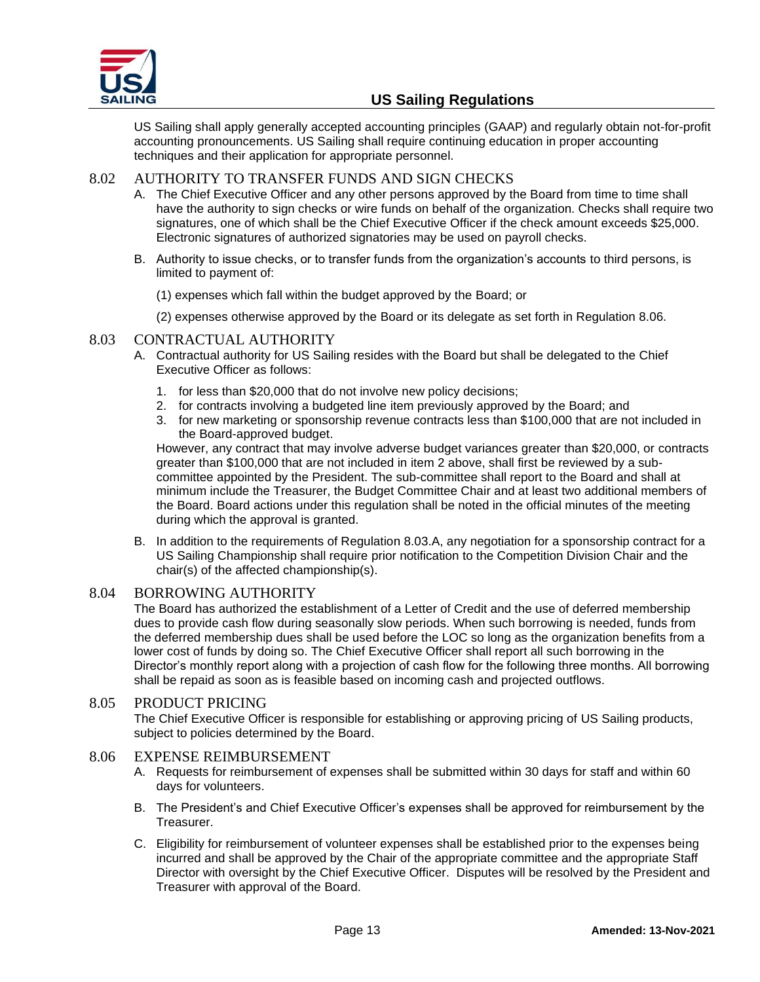

US Sailing shall apply generally accepted accounting principles (GAAP) and regularly obtain not-for-profit accounting pronouncements. US Sailing shall require continuing education in proper accounting techniques and their application for appropriate personnel.

## 8.02 AUTHORITY TO TRANSFER FUNDS AND SIGN CHECKS

- A. The Chief Executive Officer and any other persons approved by the Board from time to time shall have the authority to sign checks or wire funds on behalf of the organization. Checks shall require two signatures, one of which shall be the Chief Executive Officer if the check amount exceeds \$25,000. Electronic signatures of authorized signatories may be used on payroll checks.
- B. Authority to issue checks, or to transfer funds from the organization's accounts to third persons, is limited to payment of:
	- (1) expenses which fall within the budget approved by the Board; or
	- (2) expenses otherwise approved by the Board or its delegate as set forth in Regulation 8.06.

## 8.03 CONTRACTUAL AUTHORITY

- A. Contractual authority for US Sailing resides with the Board but shall be delegated to the Chief Executive Officer as follows:
	- 1. for less than \$20,000 that do not involve new policy decisions;
	- 2. for contracts involving a budgeted line item previously approved by the Board; and
	- 3. for new marketing or sponsorship revenue contracts less than \$100,000 that are not included in the Board-approved budget.

However, any contract that may involve adverse budget variances greater than \$20,000, or contracts greater than \$100,000 that are not included in item 2 above, shall first be reviewed by a subcommittee appointed by the President. The sub-committee shall report to the Board and shall at minimum include the Treasurer, the Budget Committee Chair and at least two additional members of the Board. Board actions under this regulation shall be noted in the official minutes of the meeting during which the approval is granted.

B. In addition to the requirements of Regulation 8.03.A, any negotiation for a sponsorship contract for a US Sailing Championship shall require prior notification to the Competition Division Chair and the chair(s) of the affected championship(s).

## 8.04 BORROWING AUTHORITY

The Board has authorized the establishment of a Letter of Credit and the use of deferred membership dues to provide cash flow during seasonally slow periods. When such borrowing is needed, funds from the deferred membership dues shall be used before the LOC so long as the organization benefits from a lower cost of funds by doing so. The Chief Executive Officer shall report all such borrowing in the Director's monthly report along with a projection of cash flow for the following three months. All borrowing shall be repaid as soon as is feasible based on incoming cash and projected outflows.

## 8.05 PRODUCT PRICING

The Chief Executive Officer is responsible for establishing or approving pricing of US Sailing products, subject to policies determined by the Board.

## 8.06 EXPENSE REIMBURSEMENT

- A. Requests for reimbursement of expenses shall be submitted within 30 days for staff and within 60 days for volunteers.
- B. The President's and Chief Executive Officer's expenses shall be approved for reimbursement by the Treasurer.
- C. Eligibility for reimbursement of volunteer expenses shall be established prior to the expenses being incurred and shall be approved by the Chair of the appropriate committee and the appropriate Staff Director with oversight by the Chief Executive Officer. Disputes will be resolved by the President and Treasurer with approval of the Board.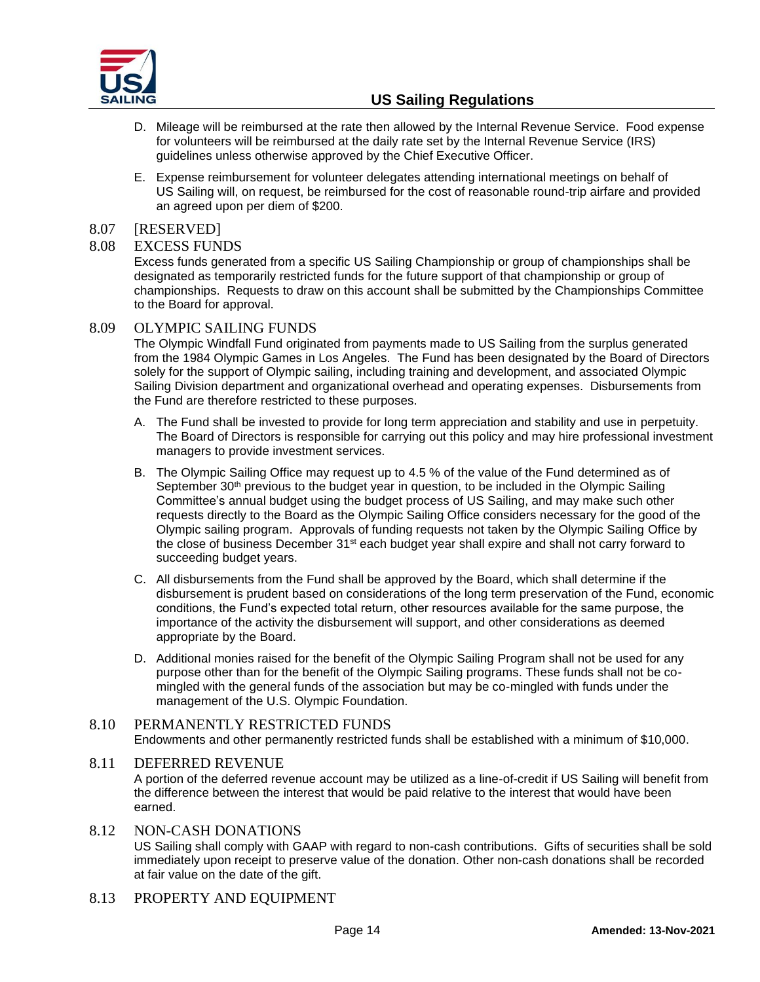

- D. Mileage will be reimbursed at the rate then allowed by the Internal Revenue Service. Food expense for volunteers will be reimbursed at the daily rate set by the Internal Revenue Service (IRS) guidelines unless otherwise approved by the Chief Executive Officer.
- E. Expense reimbursement for volunteer delegates attending international meetings on behalf of US Sailing will, on request, be reimbursed for the cost of reasonable round-trip airfare and provided an agreed upon per diem of \$200.

## 8.07 [RESERVED]

## 8.08 EXCESS FUNDS

Excess funds generated from a specific US Sailing Championship or group of championships shall be designated as temporarily restricted funds for the future support of that championship or group of championships. Requests to draw on this account shall be submitted by the Championships Committee to the Board for approval.

## 8.09 OLYMPIC SAILING FUNDS

The Olympic Windfall Fund originated from payments made to US Sailing from the surplus generated from the 1984 Olympic Games in Los Angeles. The Fund has been designated by the Board of Directors solely for the support of Olympic sailing, including training and development, and associated Olympic Sailing Division department and organizational overhead and operating expenses. Disbursements from the Fund are therefore restricted to these purposes.

- A. The Fund shall be invested to provide for long term appreciation and stability and use in perpetuity. The Board of Directors is responsible for carrying out this policy and may hire professional investment managers to provide investment services.
- B. The Olympic Sailing Office may request up to 4.5 % of the value of the Fund determined as of September 30<sup>th</sup> previous to the budget year in question, to be included in the Olympic Sailing Committee's annual budget using the budget process of US Sailing, and may make such other requests directly to the Board as the Olympic Sailing Office considers necessary for the good of the Olympic sailing program. Approvals of funding requests not taken by the Olympic Sailing Office by the close of business December 31<sup>st</sup> each budget year shall expire and shall not carry forward to succeeding budget years.
- C. All disbursements from the Fund shall be approved by the Board, which shall determine if the disbursement is prudent based on considerations of the long term preservation of the Fund, economic conditions, the Fund's expected total return, other resources available for the same purpose, the importance of the activity the disbursement will support, and other considerations as deemed appropriate by the Board.
- D. Additional monies raised for the benefit of the Olympic Sailing Program shall not be used for any purpose other than for the benefit of the Olympic Sailing programs. These funds shall not be comingled with the general funds of the association but may be co-mingled with funds under the management of the U.S. Olympic Foundation.

## 8.10 PERMANENTLY RESTRICTED FUNDS Endowments and other permanently restricted funds shall be established with a minimum of \$10,000.

## 8.11 DEFERRED REVENUE

A portion of the deferred revenue account may be utilized as a line-of-credit if US Sailing will benefit from the difference between the interest that would be paid relative to the interest that would have been earned.

- 8.12 NON-CASH DONATIONS US Sailing shall comply with GAAP with regard to non-cash contributions. Gifts of securities shall be sold immediately upon receipt to preserve value of the donation. Other non-cash donations shall be recorded at fair value on the date of the gift.
- 8.13 PROPERTY AND EQUIPMENT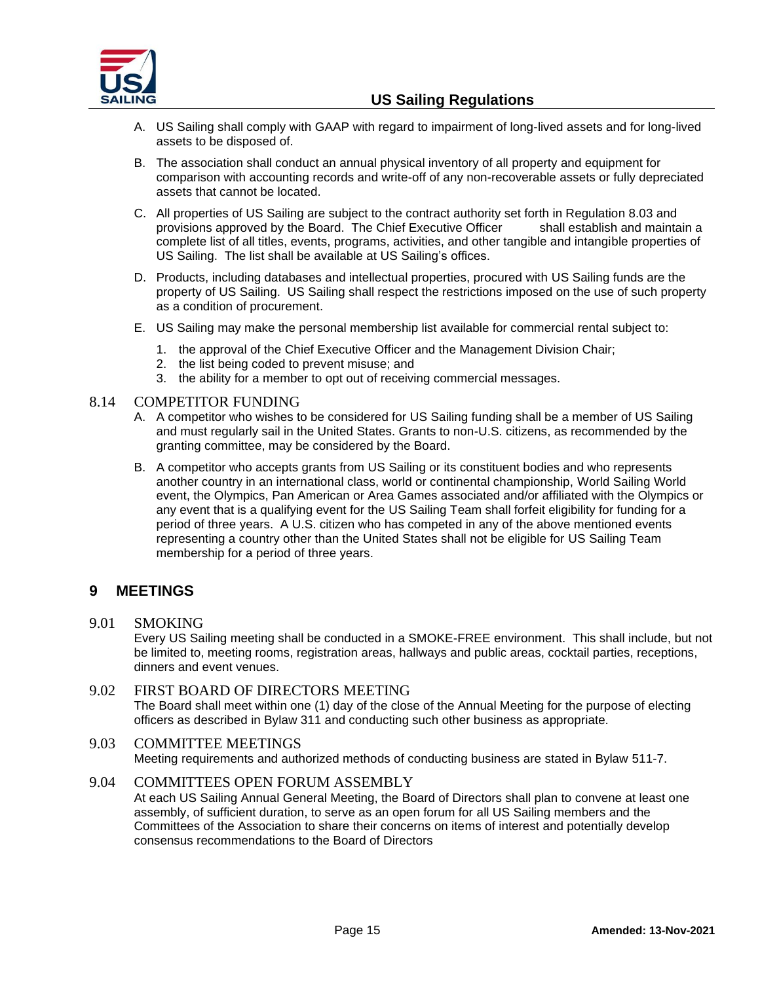

- A. US Sailing shall comply with GAAP with regard to impairment of long-lived assets and for long-lived assets to be disposed of.
- B. The association shall conduct an annual physical inventory of all property and equipment for comparison with accounting records and write-off of any non-recoverable assets or fully depreciated assets that cannot be located.
- C. All properties of US Sailing are subject to the contract authority set forth in Regulation 8.03 and provisions approved by the Board. The Chief Executive Officer shall establish and maintain a complete list of all titles, events, programs, activities, and other tangible and intangible properties of US Sailing. The list shall be available at US Sailing's offices.
- D. Products, including databases and intellectual properties, procured with US Sailing funds are the property of US Sailing. US Sailing shall respect the restrictions imposed on the use of such property as a condition of procurement.
- E. US Sailing may make the personal membership list available for commercial rental subject to:
	- 1. the approval of the Chief Executive Officer and the Management Division Chair;
	- 2. the list being coded to prevent misuse; and
	- 3. the ability for a member to opt out of receiving commercial messages.

## 8.14 COMPETITOR FUNDING

- A. A competitor who wishes to be considered for US Sailing funding shall be a member of US Sailing and must regularly sail in the United States. Grants to non-U.S. citizens, as recommended by the granting committee, may be considered by the Board.
- B. A competitor who accepts grants from US Sailing or its constituent bodies and who represents another country in an international class, world or continental championship, World Sailing World event, the Olympics, Pan American or Area Games associated and/or affiliated with the Olympics or any event that is a qualifying event for the US Sailing Team shall forfeit eligibility for funding for a period of three years. A U.S. citizen who has competed in any of the above mentioned events representing a country other than the United States shall not be eligible for US Sailing Team membership for a period of three years.

## <span id="page-14-0"></span>**9 MEETINGS**

9.01 SMOKING

Every US Sailing meeting shall be conducted in a SMOKE-FREE environment. This shall include, but not be limited to, meeting rooms, registration areas, hallways and public areas, cocktail parties, receptions, dinners and event venues.

9.02 FIRST BOARD OF DIRECTORS MEETING The Board shall meet within one (1) day of the close of the Annual Meeting for the purpose of electing officers as described in Bylaw 311 and conducting such other business as appropriate.

## 9.03 COMMITTEE MEETINGS Meeting requirements and authorized methods of conducting business are stated in Bylaw 511-7.

## 9.04 COMMITTEES OPEN FORUM ASSEMBLY

At each US Sailing Annual General Meeting, the Board of Directors shall plan to convene at least one assembly, of sufficient duration, to serve as an open forum for all US Sailing members and the Committees of the Association to share their concerns on items of interest and potentially develop consensus recommendations to the Board of Directors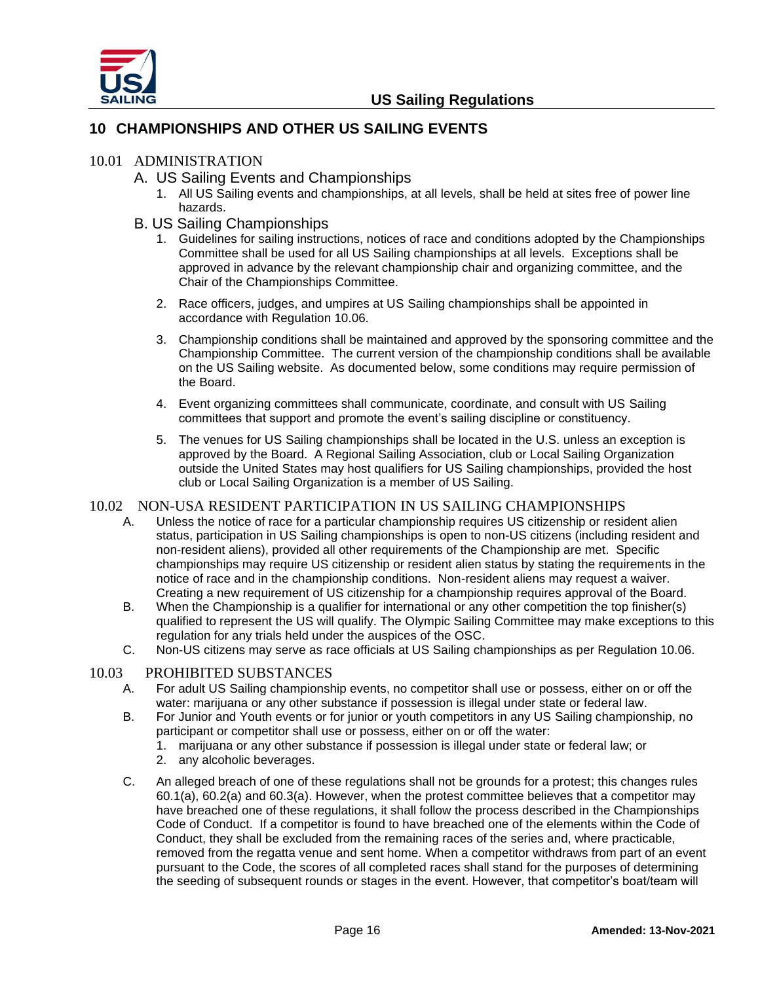

# <span id="page-15-0"></span>**10 CHAMPIONSHIPS AND OTHER US SAILING EVENTS**

## 10.01 ADMINISTRATION

- A. US Sailing Events and Championships
	- 1. All US Sailing events and championships, at all levels, shall be held at sites free of power line hazards.

## B. US Sailing Championships

- 1. Guidelines for sailing instructions, notices of race and conditions adopted by the Championships Committee shall be used for all US Sailing championships at all levels. Exceptions shall be approved in advance by the relevant championship chair and organizing committee, and the Chair of the Championships Committee.
- 2. Race officers, judges, and umpires at US Sailing championships shall be appointed in accordance with Regulation 10.06.
- 3. Championship conditions shall be maintained and approved by the sponsoring committee and the Championship Committee. The current version of the championship conditions shall be available on the US Sailing website. As documented below, some conditions may require permission of the Board.
- 4. Event organizing committees shall communicate, coordinate, and consult with US Sailing committees that support and promote the event's sailing discipline or constituency.
- 5. The venues for US Sailing championships shall be located in the U.S. unless an exception is approved by the Board. A Regional Sailing Association, club or Local Sailing Organization outside the United States may host qualifiers for US Sailing championships, provided the host club or Local Sailing Organization is a member of US Sailing.

## 10.02 NON-USA RESIDENT PARTICIPATION IN US SAILING CHAMPIONSHIPS

- A. Unless the notice of race for a particular championship requires US citizenship or resident alien status, participation in US Sailing championships is open to non-US citizens (including resident and non-resident aliens), provided all other requirements of the Championship are met. Specific championships may require US citizenship or resident alien status by stating the requirements in the notice of race and in the championship conditions. Non-resident aliens may request a waiver. Creating a new requirement of US citizenship for a championship requires approval of the Board.
- B. When the Championship is a qualifier for international or any other competition the top finisher(s) qualified to represent the US will qualify. The Olympic Sailing Committee may make exceptions to this regulation for any trials held under the auspices of the OSC.
- C. Non-US citizens may serve as race officials at US Sailing championships as per Regulation 10.06.

## 10.03 PROHIBITED SUBSTANCES

- A. For adult US Sailing championship events, no competitor shall use or possess, either on or off the water: marijuana or any other substance if possession is illegal under state or federal law.
- B. For Junior and Youth events or for junior or youth competitors in any US Sailing championship, no participant or competitor shall use or possess, either on or off the water:
	- 1. marijuana or any other substance if possession is illegal under state or federal law; or
	- 2. any alcoholic beverages.
- C. An alleged breach of one of these regulations shall not be grounds for a protest; this changes rules 60.1(a), 60.2(a) and 60.3(a). However, when the protest committee believes that a competitor may have breached one of these regulations, it shall follow the process described in the Championships Code of Conduct. If a competitor is found to have breached one of the elements within the Code of Conduct, they shall be excluded from the remaining races of the series and, where practicable, removed from the regatta venue and sent home. When a competitor withdraws from part of an event pursuant to the Code, the scores of all completed races shall stand for the purposes of determining the seeding of subsequent rounds or stages in the event. However, that competitor's boat/team will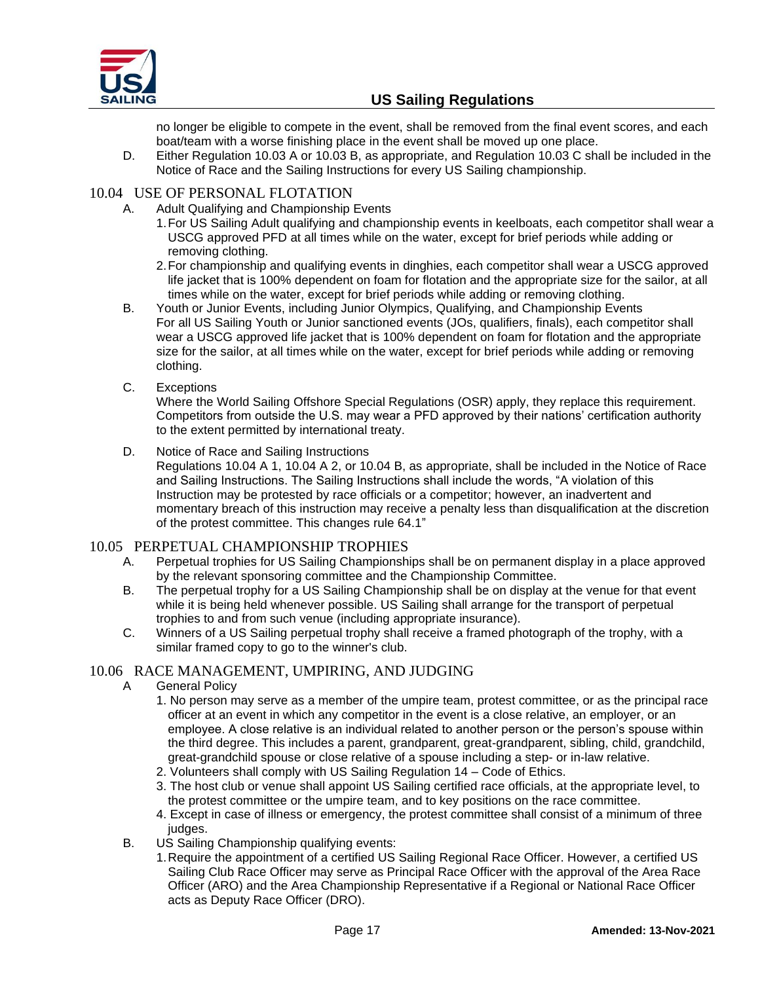

no longer be eligible to compete in the event, shall be removed from the final event scores, and each boat/team with a worse finishing place in the event shall be moved up one place.

D. Either Regulation 10.03 A or 10.03 B, as appropriate, and Regulation 10.03 C shall be included in the Notice of Race and the Sailing Instructions for every US Sailing championship.

## 10.04 USE OF PERSONAL FLOTATION

- A. Adult Qualifying and Championship Events
	- 1.For US Sailing Adult qualifying and championship events in keelboats, each competitor shall wear a USCG approved PFD at all times while on the water, except for brief periods while adding or removing clothing.
	- 2.For championship and qualifying events in dinghies, each competitor shall wear a USCG approved life jacket that is 100% dependent on foam for flotation and the appropriate size for the sailor, at all times while on the water, except for brief periods while adding or removing clothing.
- B. Youth or Junior Events, including Junior Olympics, Qualifying, and Championship Events For all US Sailing Youth or Junior sanctioned events (JOs, qualifiers, finals), each competitor shall wear a USCG approved life jacket that is 100% dependent on foam for flotation and the appropriate size for the sailor, at all times while on the water, except for brief periods while adding or removing clothing.
- C. Exceptions

Where the World Sailing Offshore Special Regulations (OSR) apply, they replace this requirement. Competitors from outside the U.S. may wear a PFD approved by their nations' certification authority to the extent permitted by international treaty.

## D. Notice of Race and Sailing Instructions

Regulations 10.04 A 1, 10.04 A 2, or 10.04 B, as appropriate, shall be included in the Notice of Race and Sailing Instructions. The Sailing Instructions shall include the words, "A violation of this Instruction may be protested by race officials or a competitor; however, an inadvertent and momentary breach of this instruction may receive a penalty less than disqualification at the discretion of the protest committee. This changes rule 64.1"

## 10.05 PERPETUAL CHAMPIONSHIP TROPHIES

- A. Perpetual trophies for US Sailing Championships shall be on permanent display in a place approved by the relevant sponsoring committee and the Championship Committee.
- B. The perpetual trophy for a US Sailing Championship shall be on display at the venue for that event while it is being held whenever possible. US Sailing shall arrange for the transport of perpetual trophies to and from such venue (including appropriate insurance).
- C. Winners of a US Sailing perpetual trophy shall receive a framed photograph of the trophy, with a similar framed copy to go to the winner's club.

## 10.06 RACE MANAGEMENT, UMPIRING, AND JUDGING

- A General Policy
	- 1. No person may serve as a member of the umpire team, protest committee, or as the principal race officer at an event in which any competitor in the event is a close relative, an employer, or an employee. A close relative is an individual related to another person or the person's spouse within the third degree. This includes a parent, grandparent, great-grandparent, sibling, child, grandchild, great-grandchild spouse or close relative of a spouse including a step- or in-law relative.
	- 2. Volunteers shall comply with US Sailing Regulation 14 Code of Ethics.
	- 3. The host club or venue shall appoint US Sailing certified race officials, at the appropriate level, to the protest committee or the umpire team, and to key positions on the race committee.
	- 4. Except in case of illness or emergency, the protest committee shall consist of a minimum of three judges.
- B. US Sailing Championship qualifying events:
	- 1.Require the appointment of a certified US Sailing Regional Race Officer. However, a certified US Sailing Club Race Officer may serve as Principal Race Officer with the approval of the Area Race Officer (ARO) and the Area Championship Representative if a Regional or National Race Officer acts as Deputy Race Officer (DRO).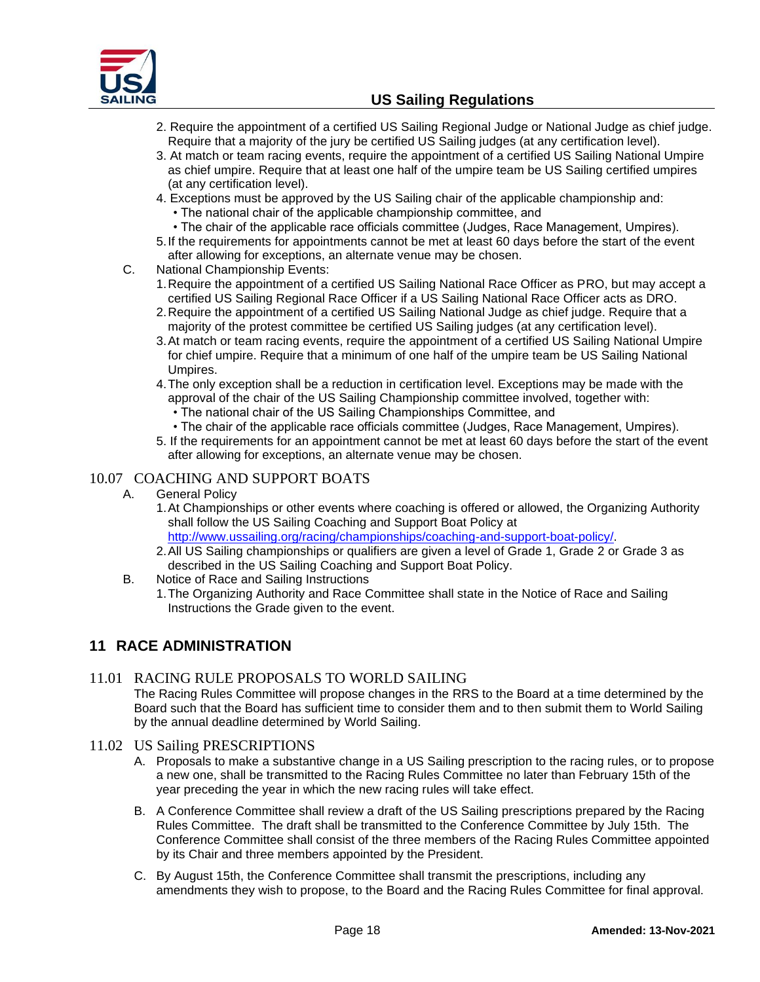

- 2. Require the appointment of a certified US Sailing Regional Judge or National Judge as chief judge. Require that a majority of the jury be certified US Sailing judges (at any certification level).
- 3. At match or team racing events, require the appointment of a certified US Sailing National Umpire as chief umpire. Require that at least one half of the umpire team be US Sailing certified umpires (at any certification level).
- 4. Exceptions must be approved by the US Sailing chair of the applicable championship and:
	- The national chair of the applicable championship committee, and
- The chair of the applicable race officials committee (Judges, Race Management, Umpires).
- 5.If the requirements for appointments cannot be met at least 60 days before the start of the event after allowing for exceptions, an alternate venue may be chosen.
- C. National Championship Events:
	- 1.Require the appointment of a certified US Sailing National Race Officer as PRO, but may accept a certified US Sailing Regional Race Officer if a US Sailing National Race Officer acts as DRO.
	- 2.Require the appointment of a certified US Sailing National Judge as chief judge. Require that a majority of the protest committee be certified US Sailing judges (at any certification level).
	- 3.At match or team racing events, require the appointment of a certified US Sailing National Umpire for chief umpire. Require that a minimum of one half of the umpire team be US Sailing National Umpires.
	- 4.The only exception shall be a reduction in certification level. Exceptions may be made with the approval of the chair of the US Sailing Championship committee involved, together with:
		- The national chair of the US Sailing Championships Committee, and
	- The chair of the applicable race officials committee (Judges, Race Management, Umpires).
	- 5. If the requirements for an appointment cannot be met at least 60 days before the start of the event after allowing for exceptions, an alternate venue may be chosen.

## 10.07 COACHING AND SUPPORT BOATS

- A. General Policy
	- 1.At Championships or other events where coaching is offered or allowed, the Organizing Authority shall follow the US Sailing Coaching and Support Boat Policy at [http://www.ussailing.org/racing/championships/coaching-and-support-boat-policy/.](http://www.ussailing.org/racing/championships/coaching-and-support-boat-policy/)
	- 2.All US Sailing championships or qualifiers are given a level of Grade 1, Grade 2 or Grade 3 as described in the US Sailing Coaching and Support Boat Policy.
- B. Notice of Race and Sailing Instructions
	- 1.The Organizing Authority and Race Committee shall state in the Notice of Race and Sailing Instructions the Grade given to the event.

# <span id="page-17-0"></span>**11 RACE ADMINISTRATION**

## 11.01 RACING RULE PROPOSALS TO WORLD SAILING

The Racing Rules Committee will propose changes in the RRS to the Board at a time determined by the Board such that the Board has sufficient time to consider them and to then submit them to World Sailing by the annual deadline determined by World Sailing.

- 11.02 US Sailing PRESCRIPTIONS
	- A. Proposals to make a substantive change in a US Sailing prescription to the racing rules, or to propose a new one, shall be transmitted to the Racing Rules Committee no later than February 15th of the year preceding the year in which the new racing rules will take effect.
	- B. A Conference Committee shall review a draft of the US Sailing prescriptions prepared by the Racing Rules Committee. The draft shall be transmitted to the Conference Committee by July 15th. The Conference Committee shall consist of the three members of the Racing Rules Committee appointed by its Chair and three members appointed by the President.
	- C. By August 15th, the Conference Committee shall transmit the prescriptions, including any amendments they wish to propose, to the Board and the Racing Rules Committee for final approval.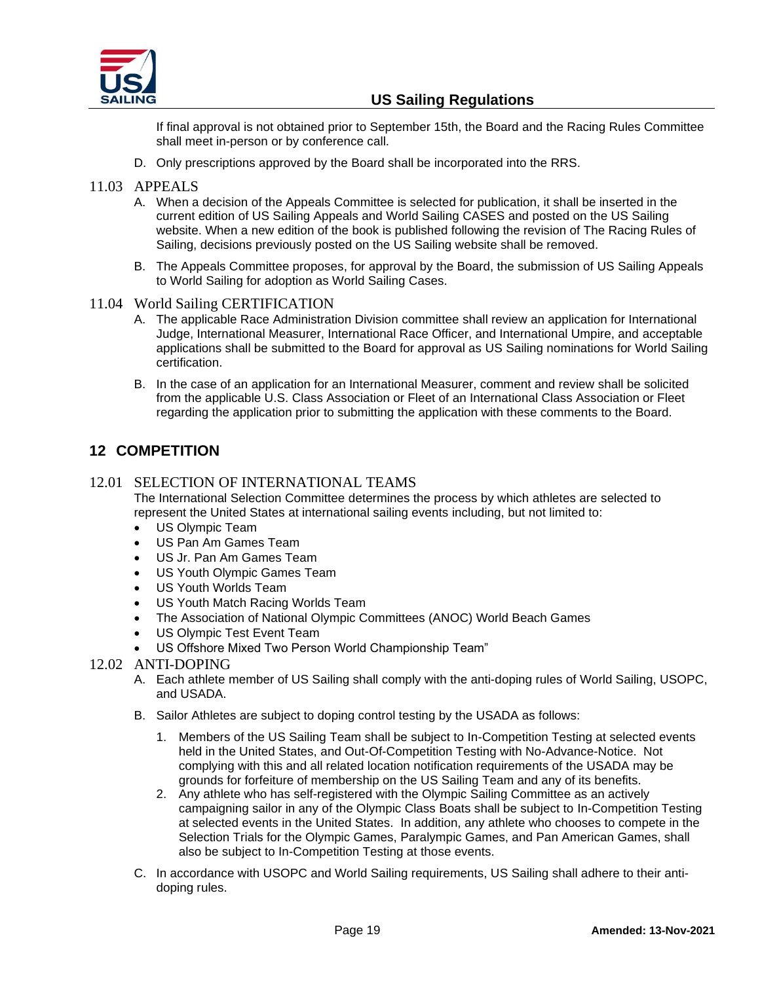

If final approval is not obtained prior to September 15th, the Board and the Racing Rules Committee shall meet in-person or by conference call.

D. Only prescriptions approved by the Board shall be incorporated into the RRS.

## 11.03 APPEALS

- A. When a decision of the Appeals Committee is selected for publication, it shall be inserted in the current edition of US Sailing Appeals and World Sailing CASES and posted on the US Sailing website. When a new edition of the book is published following the revision of The Racing Rules of Sailing, decisions previously posted on the US Sailing website shall be removed.
- B. The Appeals Committee proposes, for approval by the Board, the submission of US Sailing Appeals to World Sailing for adoption as World Sailing Cases.
- 11.04 World Sailing CERTIFICATION
	- A. The applicable Race Administration Division committee shall review an application for International Judge, International Measurer, International Race Officer, and International Umpire, and acceptable applications shall be submitted to the Board for approval as US Sailing nominations for World Sailing certification.
	- B. In the case of an application for an International Measurer, comment and review shall be solicited from the applicable U.S. Class Association or Fleet of an International Class Association or Fleet regarding the application prior to submitting the application with these comments to the Board.

# <span id="page-18-0"></span>**12 COMPETITION**

## 12.01 SELECTION OF INTERNATIONAL TEAMS

The International Selection Committee determines the process by which athletes are selected to represent the United States at international sailing events including, but not limited to:

- US Olympic Team
- US Pan Am Games Team
- US Jr. Pan Am Games Team
- US Youth Olympic Games Team
- US Youth Worlds Team
- US Youth Match Racing Worlds Team
- The Association of National Olympic Committees (ANOC) World Beach Games
- US Olympic Test Event Team
- US Offshore Mixed Two Person World Championship Team"
- 12.02 ANTI-DOPING
	- A. Each athlete member of US Sailing shall comply with the anti-doping rules of World Sailing, USOPC, and USADA.
	- B. Sailor Athletes are subject to doping control testing by the USADA as follows:
		- 1. Members of the US Sailing Team shall be subject to In-Competition Testing at selected events held in the United States, and Out-Of-Competition Testing with No-Advance-Notice. Not complying with this and all related location notification requirements of the USADA may be grounds for forfeiture of membership on the US Sailing Team and any of its benefits.
		- 2. Any athlete who has self-registered with the Olympic Sailing Committee as an actively campaigning sailor in any of the Olympic Class Boats shall be subject to In-Competition Testing at selected events in the United States. In addition, any athlete who chooses to compete in the Selection Trials for the Olympic Games, Paralympic Games, and Pan American Games, shall also be subject to In-Competition Testing at those events.
	- C. In accordance with USOPC and World Sailing requirements, US Sailing shall adhere to their antidoping rules.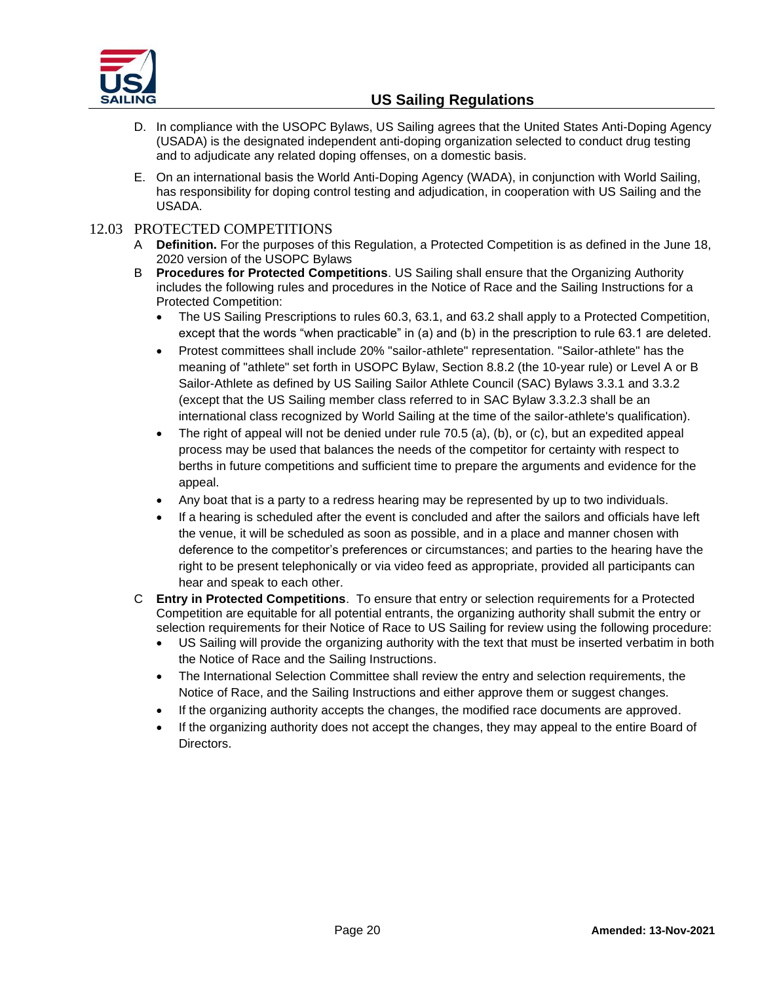

- D. In compliance with the USOPC Bylaws, US Sailing agrees that the United States Anti-Doping Agency (USADA) is the designated independent anti-doping organization selected to conduct drug testing and to adjudicate any related doping offenses, on a domestic basis.
- E. On an international basis the World Anti-Doping Agency (WADA), in conjunction with World Sailing, has responsibility for doping control testing and adjudication, in cooperation with US Sailing and the USADA.

## 12.03 PROTECTED COMPETITIONS

- A **Definition.** For the purposes of this Regulation, a Protected Competition is as defined in the June 18, 2020 version of the USOPC Bylaws
- B **Procedures for Protected Competitions**. US Sailing shall ensure that the Organizing Authority includes the following rules and procedures in the Notice of Race and the Sailing Instructions for a Protected Competition:
	- The US Sailing Prescriptions to rules 60.3, 63.1, and 63.2 shall apply to a Protected Competition, except that the words "when practicable" in (a) and (b) in the prescription to rule 63.1 are deleted.
	- Protest committees shall include 20% "sailor-athlete" representation. "Sailor-athlete" has the meaning of "athlete" set forth in USOPC Bylaw, Section 8.8.2 (the 10-year rule) or Level A or B Sailor-Athlete as defined by US Sailing Sailor Athlete Council (SAC) Bylaws 3.3.1 and 3.3.2 (except that the US Sailing member class referred to in SAC Bylaw 3.3.2.3 shall be an international class recognized by World Sailing at the time of the sailor-athlete's qualification).
	- The right of appeal will not be denied under rule  $70.5$  (a), (b), or (c), but an expedited appeal process may be used that balances the needs of the competitor for certainty with respect to berths in future competitions and sufficient time to prepare the arguments and evidence for the appeal.
	- Any boat that is a party to a redress hearing may be represented by up to two individuals.
	- If a hearing is scheduled after the event is concluded and after the sailors and officials have left the venue, it will be scheduled as soon as possible, and in a place and manner chosen with deference to the competitor's preferences or circumstances; and parties to the hearing have the right to be present telephonically or via video feed as appropriate, provided all participants can hear and speak to each other.
- C **Entry in Protected Competitions**. To ensure that entry or selection requirements for a Protected Competition are equitable for all potential entrants, the organizing authority shall submit the entry or selection requirements for their Notice of Race to US Sailing for review using the following procedure:
	- US Sailing will provide the organizing authority with the text that must be inserted verbatim in both the Notice of Race and the Sailing Instructions.
	- The International Selection Committee shall review the entry and selection requirements, the Notice of Race, and the Sailing Instructions and either approve them or suggest changes.
	- If the organizing authority accepts the changes, the modified race documents are approved.
	- If the organizing authority does not accept the changes, they may appeal to the entire Board of Directors.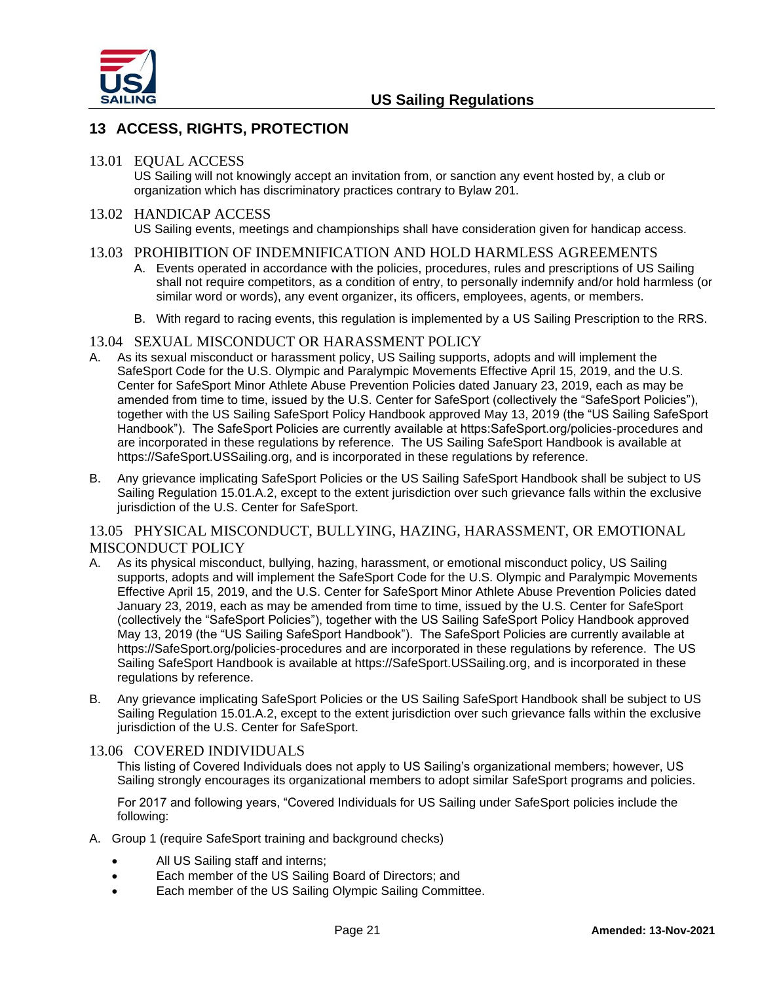

# <span id="page-20-0"></span>**13 ACCESS, RIGHTS, PROTECTION**

#### 13.01 EQUAL ACCESS

US Sailing will not knowingly accept an invitation from, or sanction any event hosted by, a club or organization which has discriminatory practices contrary to Bylaw 201.

#### 13.02 HANDICAP ACCESS

US Sailing events, meetings and championships shall have consideration given for handicap access.

#### 13.03 PROHIBITION OF INDEMNIFICATION AND HOLD HARMLESS AGREEMENTS

- A. Events operated in accordance with the policies, procedures, rules and prescriptions of US Sailing shall not require competitors, as a condition of entry, to personally indemnify and/or hold harmless (or similar word or words), any event organizer, its officers, employees, agents, or members.
- B. With regard to racing events, this regulation is implemented by a US Sailing Prescription to the RRS.

#### 13.04 SEXUAL MISCONDUCT OR HARASSMENT POLICY

- A. As its sexual misconduct or harassment policy, US Sailing supports, adopts and will implement the SafeSport Code for the U.S. Olympic and Paralympic Movements Effective April 15, 2019, and the U.S. Center for SafeSport Minor Athlete Abuse Prevention Policies dated January 23, 2019, each as may be amended from time to time, issued by the U.S. Center for SafeSport (collectively the "SafeSport Policies"), together with the US Sailing SafeSport Policy Handbook approved May 13, 2019 (the "US Sailing SafeSport Handbook"). The SafeSport Policies are currently available at https:SafeSport.org/policies-procedures and are incorporated in these regulations by reference. The US Sailing SafeSport Handbook is available at https://SafeSport.USSailing.org, and is incorporated in these regulations by reference.
- B. Any grievance implicating SafeSport Policies or the US Sailing SafeSport Handbook shall be subject to US Sailing Regulation 15.01.A.2, except to the extent jurisdiction over such grievance falls within the exclusive jurisdiction of the U.S. Center for SafeSport.

## 13.05 PHYSICAL MISCONDUCT, BULLYING, HAZING, HARASSMENT, OR EMOTIONAL MISCONDUCT POLICY

- A. As its physical misconduct, bullying, hazing, harassment, or emotional misconduct policy, US Sailing supports, adopts and will implement the SafeSport Code for the U.S. Olympic and Paralympic Movements Effective April 15, 2019, and the U.S. Center for SafeSport Minor Athlete Abuse Prevention Policies dated January 23, 2019, each as may be amended from time to time, issued by the U.S. Center for SafeSport (collectively the "SafeSport Policies"), together with the US Sailing SafeSport Policy Handbook approved May 13, 2019 (the "US Sailing SafeSport Handbook"). The SafeSport Policies are currently available at https://SafeSport.org/policies-procedures and are incorporated in these regulations by reference. The US Sailing SafeSport Handbook is available at https://SafeSport.USSailing.org, and is incorporated in these regulations by reference.
- B. Any grievance implicating SafeSport Policies or the US Sailing SafeSport Handbook shall be subject to US Sailing Regulation 15.01.A.2, except to the extent jurisdiction over such grievance falls within the exclusive jurisdiction of the U.S. Center for SafeSport.

#### 13.06 COVERED INDIVIDUALS

This listing of Covered Individuals does not apply to US Sailing's organizational members; however, US Sailing strongly encourages its organizational members to adopt similar SafeSport programs and policies.

For 2017 and following years, "Covered Individuals for US Sailing under SafeSport policies include the following:

- A. Group 1 (require SafeSport training and background checks)
	- All US Sailing staff and interns;
	- Each member of the US Sailing Board of Directors; and
	- Each member of the US Sailing Olympic Sailing Committee.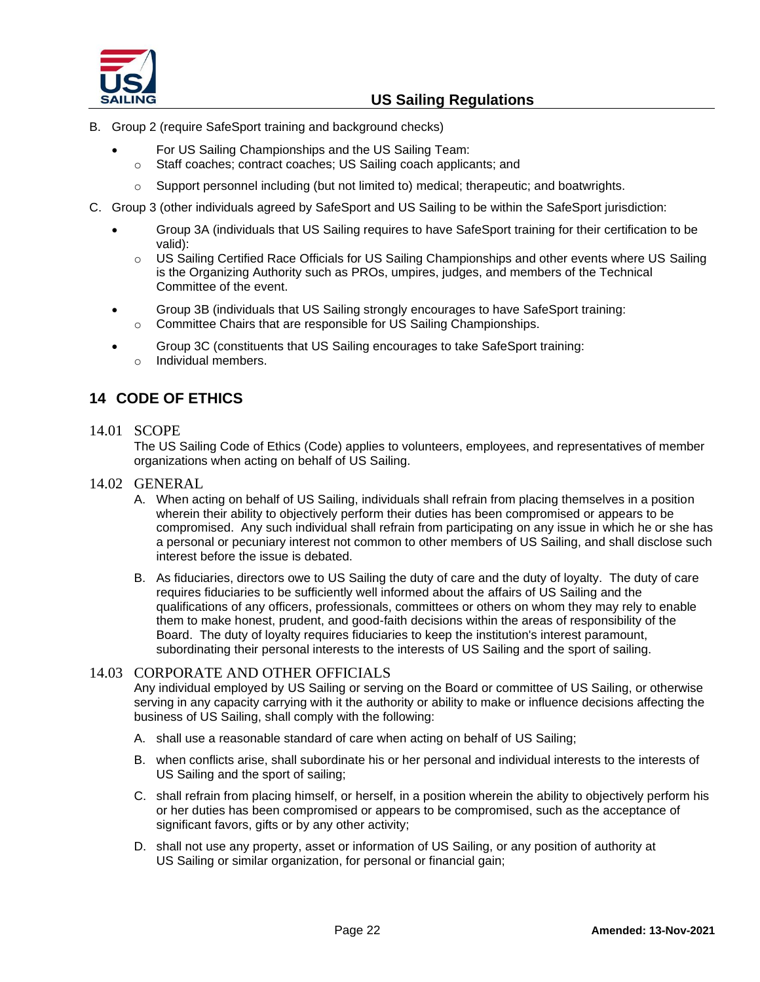

- B. Group 2 (require SafeSport training and background checks)
	- For US Sailing Championships and the US Sailing Team:
	- o Staff coaches; contract coaches; US Sailing coach applicants; and
	- $\circ$  Support personnel including (but not limited to) medical; therapeutic; and boatwrights.
- C. Group 3 (other individuals agreed by SafeSport and US Sailing to be within the SafeSport jurisdiction:
	- Group 3A (individuals that US Sailing requires to have SafeSport training for their certification to be valid):
		- o US Sailing Certified Race Officials for US Sailing Championships and other events where US Sailing is the Organizing Authority such as PROs, umpires, judges, and members of the Technical Committee of the event.
	- Group 3B (individuals that US Sailing strongly encourages to have SafeSport training:  $\circ$  Committee Chairs that are responsible for US Sailing Championships.
	- Group 3C (constituents that US Sailing encourages to take SafeSport training: o Individual members.

# <span id="page-21-0"></span>**14 CODE OF ETHICS**

## 14.01 SCOPE

The US Sailing Code of Ethics (Code) applies to volunteers, employees, and representatives of member organizations when acting on behalf of US Sailing.

## 14.02 GENERAL

- A. When acting on behalf of US Sailing, individuals shall refrain from placing themselves in a position wherein their ability to objectively perform their duties has been compromised or appears to be compromised. Any such individual shall refrain from participating on any issue in which he or she has a personal or pecuniary interest not common to other members of US Sailing, and shall disclose such interest before the issue is debated.
- B. As fiduciaries, directors owe to US Sailing the duty of care and the duty of loyalty. The duty of care requires fiduciaries to be sufficiently well informed about the affairs of US Sailing and the qualifications of any officers, professionals, committees or others on whom they may rely to enable them to make honest, prudent, and good-faith decisions within the areas of responsibility of the Board. The duty of loyalty requires fiduciaries to keep the institution's interest paramount, subordinating their personal interests to the interests of US Sailing and the sport of sailing.

## 14.03 CORPORATE AND OTHER OFFICIALS

Any individual employed by US Sailing or serving on the Board or committee of US Sailing, or otherwise serving in any capacity carrying with it the authority or ability to make or influence decisions affecting the business of US Sailing, shall comply with the following:

- A. shall use a reasonable standard of care when acting on behalf of US Sailing;
- B. when conflicts arise, shall subordinate his or her personal and individual interests to the interests of US Sailing and the sport of sailing;
- C. shall refrain from placing himself, or herself, in a position wherein the ability to objectively perform his or her duties has been compromised or appears to be compromised, such as the acceptance of significant favors, gifts or by any other activity;
- D. shall not use any property, asset or information of US Sailing, or any position of authority at US Sailing or similar organization, for personal or financial gain;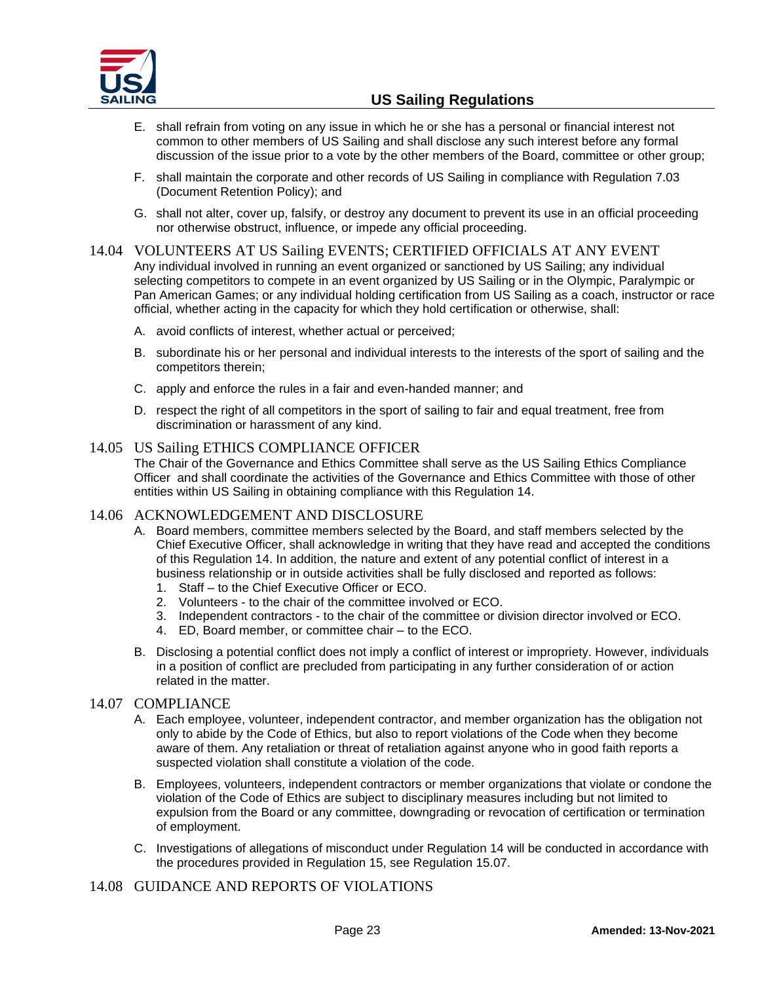

- E. shall refrain from voting on any issue in which he or she has a personal or financial interest not common to other members of US Sailing and shall disclose any such interest before any formal discussion of the issue prior to a vote by the other members of the Board, committee or other group;
- F. shall maintain the corporate and other records of US Sailing in compliance with Regulation 7.03 (Document Retention Policy); and
- G. shall not alter, cover up, falsify, or destroy any document to prevent its use in an official proceeding nor otherwise obstruct, influence, or impede any official proceeding.

#### 14.04 VOLUNTEERS AT US Sailing EVENTS; CERTIFIED OFFICIALS AT ANY EVENT Any individual involved in running an event organized or sanctioned by US Sailing; any individual selecting competitors to compete in an event organized by US Sailing or in the Olympic, Paralympic or Pan American Games; or any individual holding certification from US Sailing as a coach, instructor or race official, whether acting in the capacity for which they hold certification or otherwise, shall:

- A. avoid conflicts of interest, whether actual or perceived;
- B. subordinate his or her personal and individual interests to the interests of the sport of sailing and the competitors therein;
- C. apply and enforce the rules in a fair and even-handed manner; and
- D. respect the right of all competitors in the sport of sailing to fair and equal treatment, free from discrimination or harassment of any kind.

## 14.05 US Sailing ETHICS COMPLIANCE OFFICER

The Chair of the Governance and Ethics Committee shall serve as the US Sailing Ethics Compliance Officer and shall coordinate the activities of the Governance and Ethics Committee with those of other entities within US Sailing in obtaining compliance with this Regulation 14.

## 14.06 ACKNOWLEDGEMENT AND DISCLOSURE

- A. Board members, committee members selected by the Board, and staff members selected by the Chief Executive Officer, shall acknowledge in writing that they have read and accepted the conditions of this Regulation 14. In addition, the nature and extent of any potential conflict of interest in a business relationship or in outside activities shall be fully disclosed and reported as follows:
	- 1. Staff to the Chief Executive Officer or ECO.
	- 2. Volunteers to the chair of the committee involved or ECO.
	- 3. Independent contractors to the chair of the committee or division director involved or ECO.
	- 4. ED, Board member, or committee chair to the ECO.
- B. Disclosing a potential conflict does not imply a conflict of interest or impropriety. However, individuals in a position of conflict are precluded from participating in any further consideration of or action related in the matter.

## 14.07 COMPLIANCE

- A. Each employee, volunteer, independent contractor, and member organization has the obligation not only to abide by the Code of Ethics, but also to report violations of the Code when they become aware of them. Any retaliation or threat of retaliation against anyone who in good faith reports a suspected violation shall constitute a violation of the code.
- B. Employees, volunteers, independent contractors or member organizations that violate or condone the violation of the Code of Ethics are subject to disciplinary measures including but not limited to expulsion from the Board or any committee, downgrading or revocation of certification or termination of employment.
- C. Investigations of allegations of misconduct under Regulation 14 will be conducted in accordance with the procedures provided in Regulation 15, see Regulation 15.07.

## 14.08 GUIDANCE AND REPORTS OF VIOLATIONS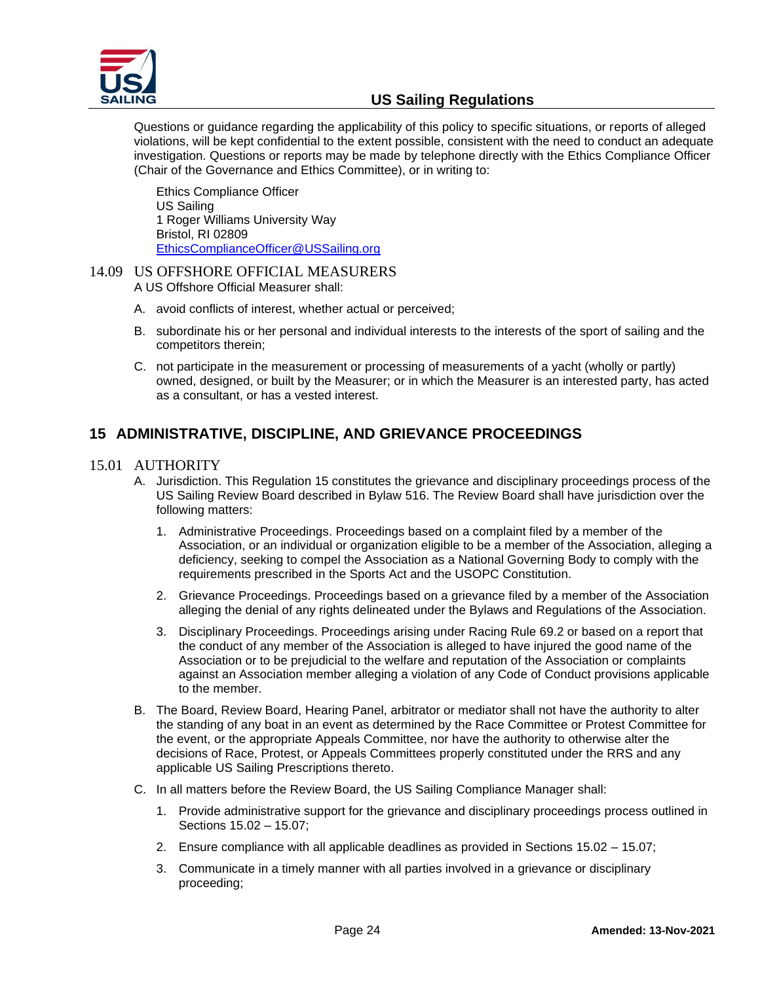

Questions or guidance regarding the applicability of this policy to specific situations, or reports of alleged violations, will be kept confidential to the extent possible, consistent with the need to conduct an adequate investigation. Questions or reports may be made by telephone directly with the Ethics Compliance Officer (Chair of the Governance and Ethics Committee), or in writing to:

Ethics Compliance Officer US Sailing 1 Roger Williams University Way Bristol, RI 02809 [EthicsComplianceOfficer@USSailing.org](mailto:EthicsComplianceOfficer@USSailing.org)

#### 14.09 US OFFSHORE OFFICIAL MEASURERS A US Offshore Official Measurer shall:

- A. avoid conflicts of interest, whether actual or perceived;
- B. subordinate his or her personal and individual interests to the interests of the sport of sailing and the competitors therein;
- C. not participate in the measurement or processing of measurements of a yacht (wholly or partly) owned, designed, or built by the Measurer; or in which the Measurer is an interested party, has acted as a consultant, or has a vested interest.

# <span id="page-23-0"></span>**15 ADMINISTRATIVE, DISCIPLINE, AND GRIEVANCE PROCEEDINGS**

## 15.01 AUTHORITY

- A. Jurisdiction. This Regulation 15 constitutes the grievance and disciplinary proceedings process of the US Sailing Review Board described in Bylaw 516. The Review Board shall have jurisdiction over the following matters:
	- 1. Administrative Proceedings. Proceedings based on a complaint filed by a member of the Association, or an individual or organization eligible to be a member of the Association, alleging a deficiency, seeking to compel the Association as a National Governing Body to comply with the requirements prescribed in the Sports Act and the USOPC Constitution.
	- 2. Grievance Proceedings. Proceedings based on a grievance filed by a member of the Association alleging the denial of any rights delineated under the Bylaws and Regulations of the Association.
	- 3. Disciplinary Proceedings. Proceedings arising under Racing Rule 69.2 or based on a report that the conduct of any member of the Association is alleged to have injured the good name of the Association or to be prejudicial to the welfare and reputation of the Association or complaints against an Association member alleging a violation of any Code of Conduct provisions applicable to the member.
- B. The Board, Review Board, Hearing Panel, arbitrator or mediator shall not have the authority to alter the standing of any boat in an event as determined by the Race Committee or Protest Committee for the event, or the appropriate Appeals Committee, nor have the authority to otherwise alter the decisions of Race, Protest, or Appeals Committees properly constituted under the RRS and any applicable US Sailing Prescriptions thereto.
- C. In all matters before the Review Board, the US Sailing Compliance Manager shall:
	- 1. Provide administrative support for the grievance and disciplinary proceedings process outlined in Sections 15.02 – 15.07;
	- 2. Ensure compliance with all applicable deadlines as provided in Sections 15.02 15.07;
	- 3. Communicate in a timely manner with all parties involved in a grievance or disciplinary proceeding;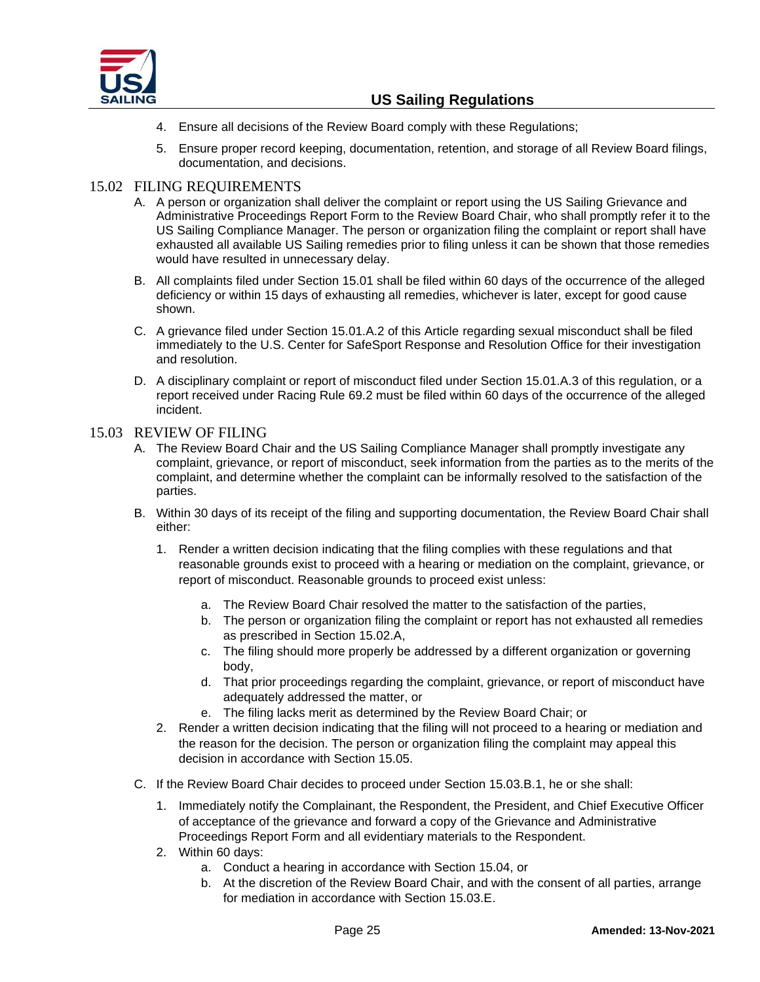

- 4. Ensure all decisions of the Review Board comply with these Regulations;
- 5. Ensure proper record keeping, documentation, retention, and storage of all Review Board filings, documentation, and decisions.

## 15.02 FILING REQUIREMENTS

- A. A person or organization shall deliver the complaint or report using the US Sailing Grievance and Administrative Proceedings Report Form to the Review Board Chair, who shall promptly refer it to the US Sailing Compliance Manager. The person or organization filing the complaint or report shall have exhausted all available US Sailing remedies prior to filing unless it can be shown that those remedies would have resulted in unnecessary delay.
- B. All complaints filed under Section 15.01 shall be filed within 60 days of the occurrence of the alleged deficiency or within 15 days of exhausting all remedies, whichever is later, except for good cause shown.
- C. A grievance filed under Section 15.01.A.2 of this Article regarding sexual misconduct shall be filed immediately to the U.S. Center for SafeSport Response and Resolution Office for their investigation and resolution.
- D. A disciplinary complaint or report of misconduct filed under Section 15.01.A.3 of this regulation, or a report received under Racing Rule 69.2 must be filed within 60 days of the occurrence of the alleged incident.

## 15.03 REVIEW OF FILING

- A. The Review Board Chair and the US Sailing Compliance Manager shall promptly investigate any complaint, grievance, or report of misconduct, seek information from the parties as to the merits of the complaint, and determine whether the complaint can be informally resolved to the satisfaction of the parties.
- B. Within 30 days of its receipt of the filing and supporting documentation, the Review Board Chair shall either:
	- 1. Render a written decision indicating that the filing complies with these regulations and that reasonable grounds exist to proceed with a hearing or mediation on the complaint, grievance, or report of misconduct. Reasonable grounds to proceed exist unless:
		- a. The Review Board Chair resolved the matter to the satisfaction of the parties,
		- b. The person or organization filing the complaint or report has not exhausted all remedies as prescribed in Section 15.02.A,
		- c. The filing should more properly be addressed by a different organization or governing body,
		- d. That prior proceedings regarding the complaint, grievance, or report of misconduct have adequately addressed the matter, or
		- e. The filing lacks merit as determined by the Review Board Chair; or
	- 2. Render a written decision indicating that the filing will not proceed to a hearing or mediation and the reason for the decision. The person or organization filing the complaint may appeal this decision in accordance with Section 15.05.
- C. If the Review Board Chair decides to proceed under Section 15.03.B.1, he or she shall:
	- 1. Immediately notify the Complainant, the Respondent, the President, and Chief Executive Officer of acceptance of the grievance and forward a copy of the Grievance and Administrative Proceedings Report Form and all evidentiary materials to the Respondent.
	- 2. Within 60 days:
		- a. Conduct a hearing in accordance with Section 15.04, or
		- b. At the discretion of the Review Board Chair, and with the consent of all parties, arrange for mediation in accordance with Section 15.03.E.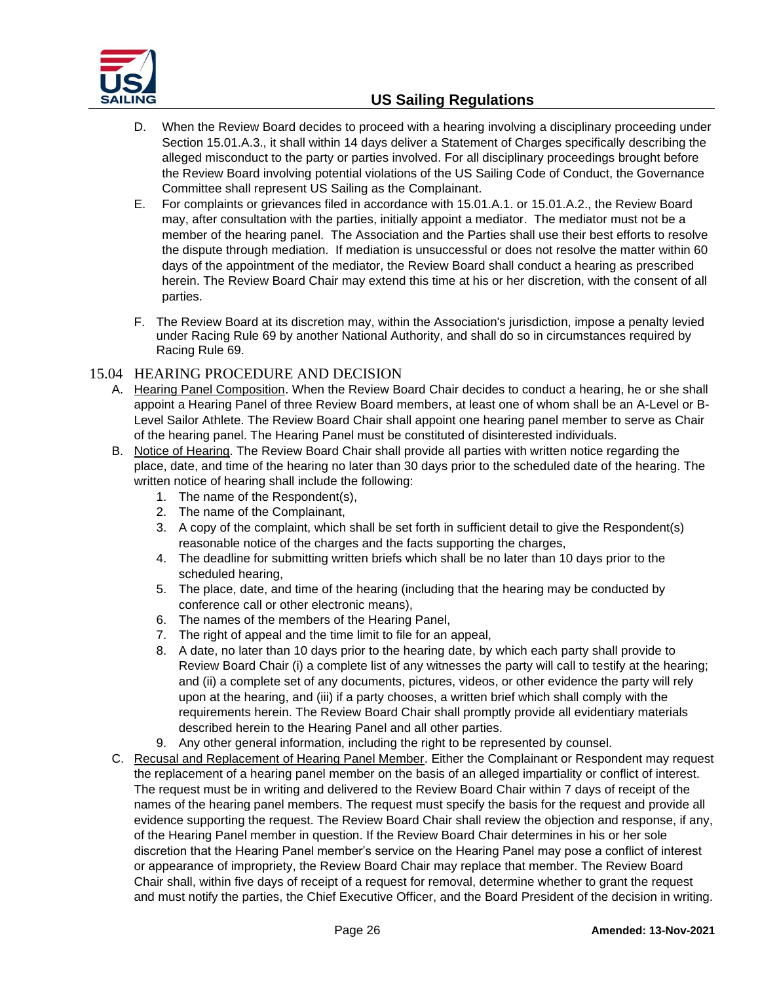

- D. When the Review Board decides to proceed with a hearing involving a disciplinary proceeding under Section 15.01.A.3., it shall within 14 days deliver a Statement of Charges specifically describing the alleged misconduct to the party or parties involved. For all disciplinary proceedings brought before the Review Board involving potential violations of the US Sailing Code of Conduct, the Governance Committee shall represent US Sailing as the Complainant.
- E. For complaints or grievances filed in accordance with 15.01.A.1. or 15.01.A.2., the Review Board may, after consultation with the parties, initially appoint a mediator. The mediator must not be a member of the hearing panel. The Association and the Parties shall use their best efforts to resolve the dispute through mediation. If mediation is unsuccessful or does not resolve the matter within 60 days of the appointment of the mediator, the Review Board shall conduct a hearing as prescribed herein. The Review Board Chair may extend this time at his or her discretion, with the consent of all parties.
- F. The Review Board at its discretion may, within the Association's jurisdiction, impose a penalty levied under Racing Rule 69 by another National Authority, and shall do so in circumstances required by Racing Rule 69.

## 15.04 HEARING PROCEDURE AND DECISION

- A. Hearing Panel Composition. When the Review Board Chair decides to conduct a hearing, he or she shall appoint a Hearing Panel of three Review Board members, at least one of whom shall be an A-Level or B-Level Sailor Athlete. The Review Board Chair shall appoint one hearing panel member to serve as Chair of the hearing panel. The Hearing Panel must be constituted of disinterested individuals.
- B. Notice of Hearing. The Review Board Chair shall provide all parties with written notice regarding the place, date, and time of the hearing no later than 30 days prior to the scheduled date of the hearing. The written notice of hearing shall include the following:
	- 1. The name of the Respondent(s),
	- 2. The name of the Complainant,
	- 3. A copy of the complaint, which shall be set forth in sufficient detail to give the Respondent(s) reasonable notice of the charges and the facts supporting the charges,
	- 4. The deadline for submitting written briefs which shall be no later than 10 days prior to the scheduled hearing,
	- 5. The place, date, and time of the hearing (including that the hearing may be conducted by conference call or other electronic means),
	- 6. The names of the members of the Hearing Panel,
	- 7. The right of appeal and the time limit to file for an appeal,
	- 8. A date, no later than 10 days prior to the hearing date, by which each party shall provide to Review Board Chair (i) a complete list of any witnesses the party will call to testify at the hearing; and (ii) a complete set of any documents, pictures, videos, or other evidence the party will rely upon at the hearing, and (iii) if a party chooses, a written brief which shall comply with the requirements herein. The Review Board Chair shall promptly provide all evidentiary materials described herein to the Hearing Panel and all other parties.
	- 9. Any other general information, including the right to be represented by counsel.
- C. Recusal and Replacement of Hearing Panel Member. Either the Complainant or Respondent may request the replacement of a hearing panel member on the basis of an alleged impartiality or conflict of interest. The request must be in writing and delivered to the Review Board Chair within 7 days of receipt of the names of the hearing panel members. The request must specify the basis for the request and provide all evidence supporting the request. The Review Board Chair shall review the objection and response, if any, of the Hearing Panel member in question. If the Review Board Chair determines in his or her sole discretion that the Hearing Panel member's service on the Hearing Panel may pose a conflict of interest or appearance of impropriety, the Review Board Chair may replace that member. The Review Board Chair shall, within five days of receipt of a request for removal, determine whether to grant the request and must notify the parties, the Chief Executive Officer, and the Board President of the decision in writing.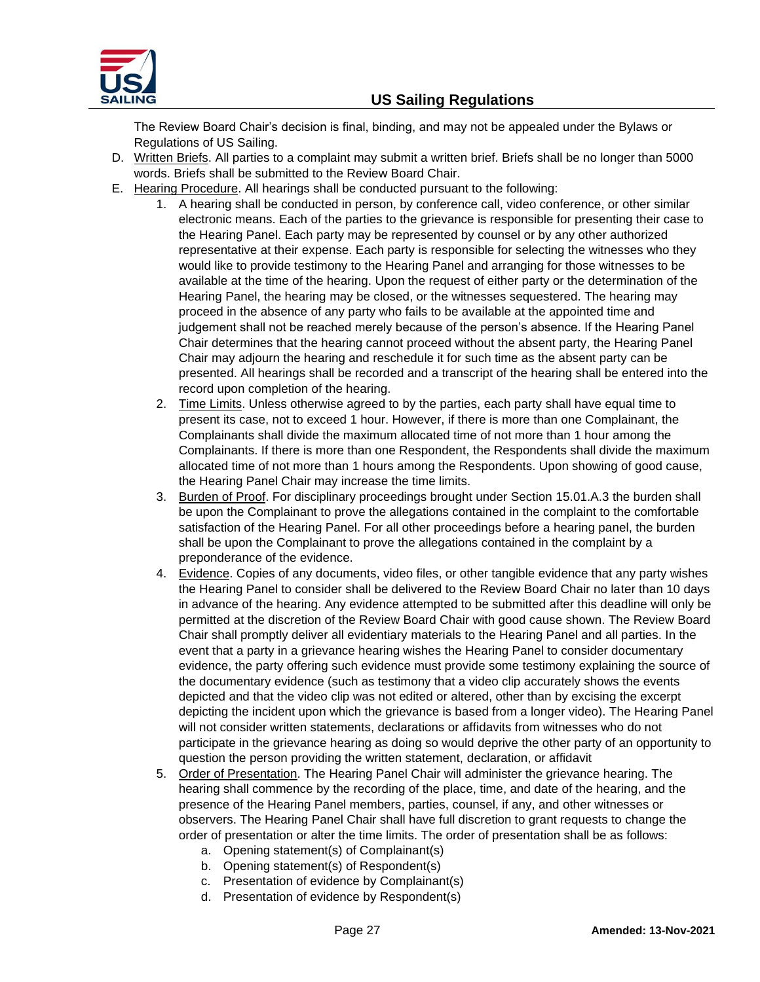

The Review Board Chair's decision is final, binding, and may not be appealed under the Bylaws or Regulations of US Sailing.

- D. Written Briefs. All parties to a complaint may submit a written brief. Briefs shall be no longer than 5000 words. Briefs shall be submitted to the Review Board Chair.
- E. Hearing Procedure. All hearings shall be conducted pursuant to the following:
	- 1. A hearing shall be conducted in person, by conference call, video conference, or other similar electronic means. Each of the parties to the grievance is responsible for presenting their case to the Hearing Panel. Each party may be represented by counsel or by any other authorized representative at their expense. Each party is responsible for selecting the witnesses who they would like to provide testimony to the Hearing Panel and arranging for those witnesses to be available at the time of the hearing. Upon the request of either party or the determination of the Hearing Panel, the hearing may be closed, or the witnesses sequestered. The hearing may proceed in the absence of any party who fails to be available at the appointed time and judgement shall not be reached merely because of the person's absence. If the Hearing Panel Chair determines that the hearing cannot proceed without the absent party, the Hearing Panel Chair may adjourn the hearing and reschedule it for such time as the absent party can be presented. All hearings shall be recorded and a transcript of the hearing shall be entered into the record upon completion of the hearing.
	- 2. Time Limits. Unless otherwise agreed to by the parties, each party shall have equal time to present its case, not to exceed 1 hour. However, if there is more than one Complainant, the Complainants shall divide the maximum allocated time of not more than 1 hour among the Complainants. If there is more than one Respondent, the Respondents shall divide the maximum allocated time of not more than 1 hours among the Respondents. Upon showing of good cause, the Hearing Panel Chair may increase the time limits.
	- 3. Burden of Proof. For disciplinary proceedings brought under Section 15.01.A.3 the burden shall be upon the Complainant to prove the allegations contained in the complaint to the comfortable satisfaction of the Hearing Panel. For all other proceedings before a hearing panel, the burden shall be upon the Complainant to prove the allegations contained in the complaint by a preponderance of the evidence.
	- 4. Evidence. Copies of any documents, video files, or other tangible evidence that any party wishes the Hearing Panel to consider shall be delivered to the Review Board Chair no later than 10 days in advance of the hearing. Any evidence attempted to be submitted after this deadline will only be permitted at the discretion of the Review Board Chair with good cause shown. The Review Board Chair shall promptly deliver all evidentiary materials to the Hearing Panel and all parties. In the event that a party in a grievance hearing wishes the Hearing Panel to consider documentary evidence, the party offering such evidence must provide some testimony explaining the source of the documentary evidence (such as testimony that a video clip accurately shows the events depicted and that the video clip was not edited or altered, other than by excising the excerpt depicting the incident upon which the grievance is based from a longer video). The Hearing Panel will not consider written statements, declarations or affidavits from witnesses who do not participate in the grievance hearing as doing so would deprive the other party of an opportunity to question the person providing the written statement, declaration, or affidavit
	- 5. Order of Presentation. The Hearing Panel Chair will administer the grievance hearing. The hearing shall commence by the recording of the place, time, and date of the hearing, and the presence of the Hearing Panel members, parties, counsel, if any, and other witnesses or observers. The Hearing Panel Chair shall have full discretion to grant requests to change the order of presentation or alter the time limits. The order of presentation shall be as follows:
		- a. Opening statement(s) of Complainant(s)
		- b. Opening statement(s) of Respondent(s)
		- c. Presentation of evidence by Complainant(s)
		- d. Presentation of evidence by Respondent(s)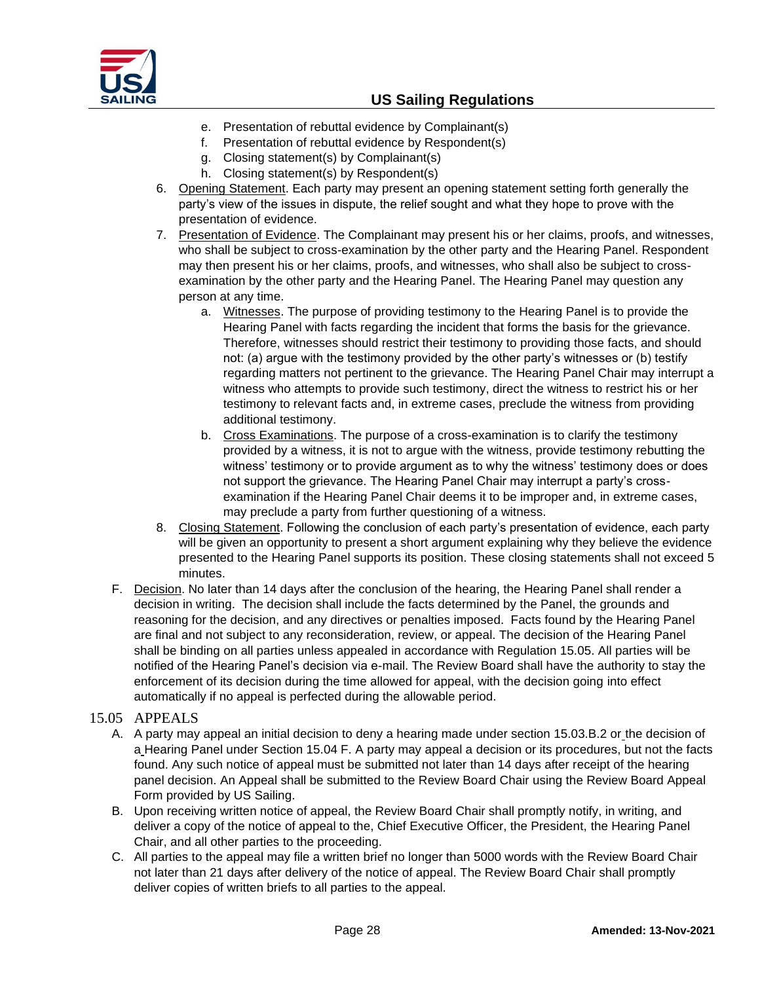

- e. Presentation of rebuttal evidence by Complainant(s)
- f. Presentation of rebuttal evidence by Respondent(s)
- g. Closing statement(s) by Complainant(s)
- h. Closing statement(s) by Respondent(s)
- 6. Opening Statement. Each party may present an opening statement setting forth generally the party's view of the issues in dispute, the relief sought and what they hope to prove with the presentation of evidence.
- 7. Presentation of Evidence. The Complainant may present his or her claims, proofs, and witnesses, who shall be subject to cross-examination by the other party and the Hearing Panel. Respondent may then present his or her claims, proofs, and witnesses, who shall also be subject to crossexamination by the other party and the Hearing Panel. The Hearing Panel may question any person at any time.
	- a. Witnesses. The purpose of providing testimony to the Hearing Panel is to provide the Hearing Panel with facts regarding the incident that forms the basis for the grievance. Therefore, witnesses should restrict their testimony to providing those facts, and should not: (a) argue with the testimony provided by the other party's witnesses or (b) testify regarding matters not pertinent to the grievance. The Hearing Panel Chair may interrupt a witness who attempts to provide such testimony, direct the witness to restrict his or her testimony to relevant facts and, in extreme cases, preclude the witness from providing additional testimony.
	- b. Cross Examinations. The purpose of a cross-examination is to clarify the testimony provided by a witness, it is not to argue with the witness, provide testimony rebutting the witness' testimony or to provide argument as to why the witness' testimony does or does not support the grievance. The Hearing Panel Chair may interrupt a party's crossexamination if the Hearing Panel Chair deems it to be improper and, in extreme cases, may preclude a party from further questioning of a witness.
- 8. Closing Statement. Following the conclusion of each party's presentation of evidence, each party will be given an opportunity to present a short argument explaining why they believe the evidence presented to the Hearing Panel supports its position. These closing statements shall not exceed 5 minutes.
- F. Decision. No later than 14 days after the conclusion of the hearing, the Hearing Panel shall render a decision in writing. The decision shall include the facts determined by the Panel, the grounds and reasoning for the decision, and any directives or penalties imposed. Facts found by the Hearing Panel are final and not subject to any reconsideration, review, or appeal. The decision of the Hearing Panel shall be binding on all parties unless appealed in accordance with Regulation 15.05. All parties will be notified of the Hearing Panel's decision via e-mail. The Review Board shall have the authority to stay the enforcement of its decision during the time allowed for appeal, with the decision going into effect automatically if no appeal is perfected during the allowable period.

## 15.05 APPEALS

- A. A party may appeal an initial decision to deny a hearing made under section 15.03.B.2 or the decision of a Hearing Panel under Section 15.04 F. A party may appeal a decision or its procedures, but not the facts found. Any such notice of appeal must be submitted not later than 14 days after receipt of the hearing panel decision. An Appeal shall be submitted to the Review Board Chair using the Review Board Appeal Form provided by US Sailing.
- B. Upon receiving written notice of appeal, the Review Board Chair shall promptly notify, in writing, and deliver a copy of the notice of appeal to the, Chief Executive Officer, the President, the Hearing Panel Chair, and all other parties to the proceeding.
- C. All parties to the appeal may file a written brief no longer than 5000 words with the Review Board Chair not later than 21 days after delivery of the notice of appeal. The Review Board Chair shall promptly deliver copies of written briefs to all parties to the appeal.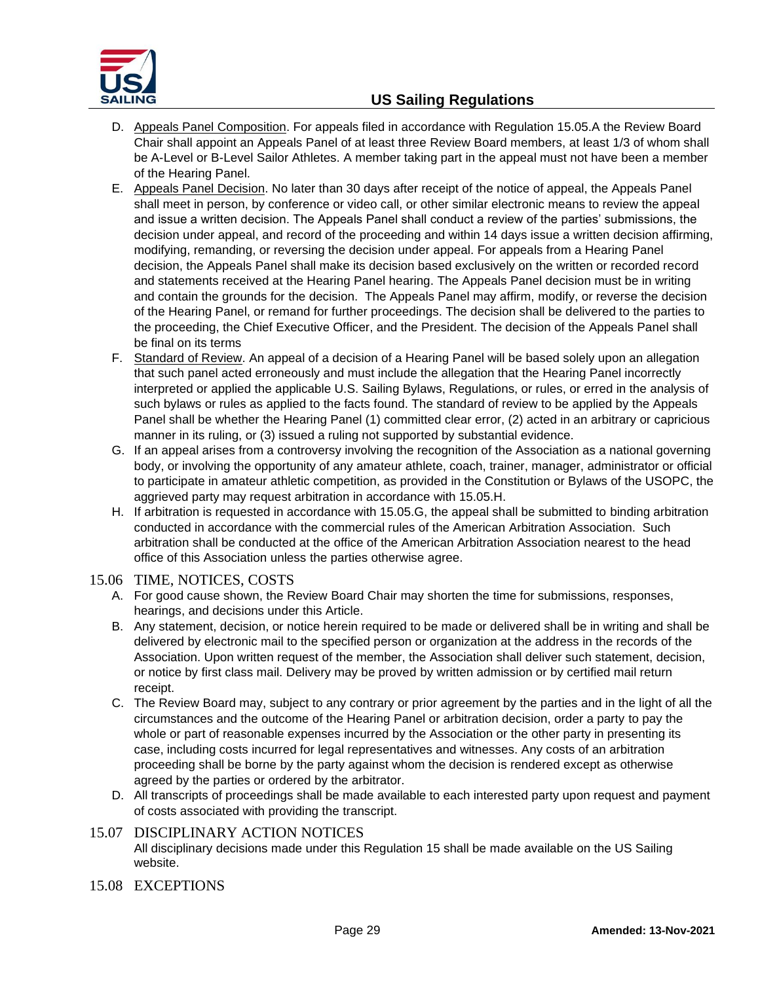

- D. Appeals Panel Composition. For appeals filed in accordance with Regulation 15.05.A the Review Board Chair shall appoint an Appeals Panel of at least three Review Board members, at least 1/3 of whom shall be A-Level or B-Level Sailor Athletes. A member taking part in the appeal must not have been a member of the Hearing Panel.
- E. Appeals Panel Decision. No later than 30 days after receipt of the notice of appeal, the Appeals Panel shall meet in person, by conference or video call, or other similar electronic means to review the appeal and issue a written decision. The Appeals Panel shall conduct a review of the parties' submissions, the decision under appeal, and record of the proceeding and within 14 days issue a written decision affirming, modifying, remanding, or reversing the decision under appeal. For appeals from a Hearing Panel decision, the Appeals Panel shall make its decision based exclusively on the written or recorded record and statements received at the Hearing Panel hearing. The Appeals Panel decision must be in writing and contain the grounds for the decision. The Appeals Panel may affirm, modify, or reverse the decision of the Hearing Panel, or remand for further proceedings. The decision shall be delivered to the parties to the proceeding, the Chief Executive Officer, and the President. The decision of the Appeals Panel shall be final on its terms
- F. Standard of Review. An appeal of a decision of a Hearing Panel will be based solely upon an allegation that such panel acted erroneously and must include the allegation that the Hearing Panel incorrectly interpreted or applied the applicable U.S. Sailing Bylaws, Regulations, or rules, or erred in the analysis of such bylaws or rules as applied to the facts found. The standard of review to be applied by the Appeals Panel shall be whether the Hearing Panel (1) committed clear error, (2) acted in an arbitrary or capricious manner in its ruling, or (3) issued a ruling not supported by substantial evidence.
- G. If an appeal arises from a controversy involving the recognition of the Association as a national governing body, or involving the opportunity of any amateur athlete, coach, trainer, manager, administrator or official to participate in amateur athletic competition, as provided in the Constitution or Bylaws of the USOPC, the aggrieved party may request arbitration in accordance with 15.05.H.
- H. If arbitration is requested in accordance with 15.05.G, the appeal shall be submitted to binding arbitration conducted in accordance with the commercial rules of the American Arbitration Association. Such arbitration shall be conducted at the office of the American Arbitration Association nearest to the head office of this Association unless the parties otherwise agree.

## 15.06 TIME, NOTICES, COSTS

- A. For good cause shown, the Review Board Chair may shorten the time for submissions, responses, hearings, and decisions under this Article.
- B. Any statement, decision, or notice herein required to be made or delivered shall be in writing and shall be delivered by electronic mail to the specified person or organization at the address in the records of the Association. Upon written request of the member, the Association shall deliver such statement, decision, or notice by first class mail. Delivery may be proved by written admission or by certified mail return receipt.
- C. The Review Board may, subject to any contrary or prior agreement by the parties and in the light of all the circumstances and the outcome of the Hearing Panel or arbitration decision, order a party to pay the whole or part of reasonable expenses incurred by the Association or the other party in presenting its case, including costs incurred for legal representatives and witnesses. Any costs of an arbitration proceeding shall be borne by the party against whom the decision is rendered except as otherwise agreed by the parties or ordered by the arbitrator.
- D. All transcripts of proceedings shall be made available to each interested party upon request and payment of costs associated with providing the transcript.

## 15.07 DISCIPLINARY ACTION NOTICES All disciplinary decisions made under this Regulation 15 shall be made available on the US Sailing website.

15.08 EXCEPTIONS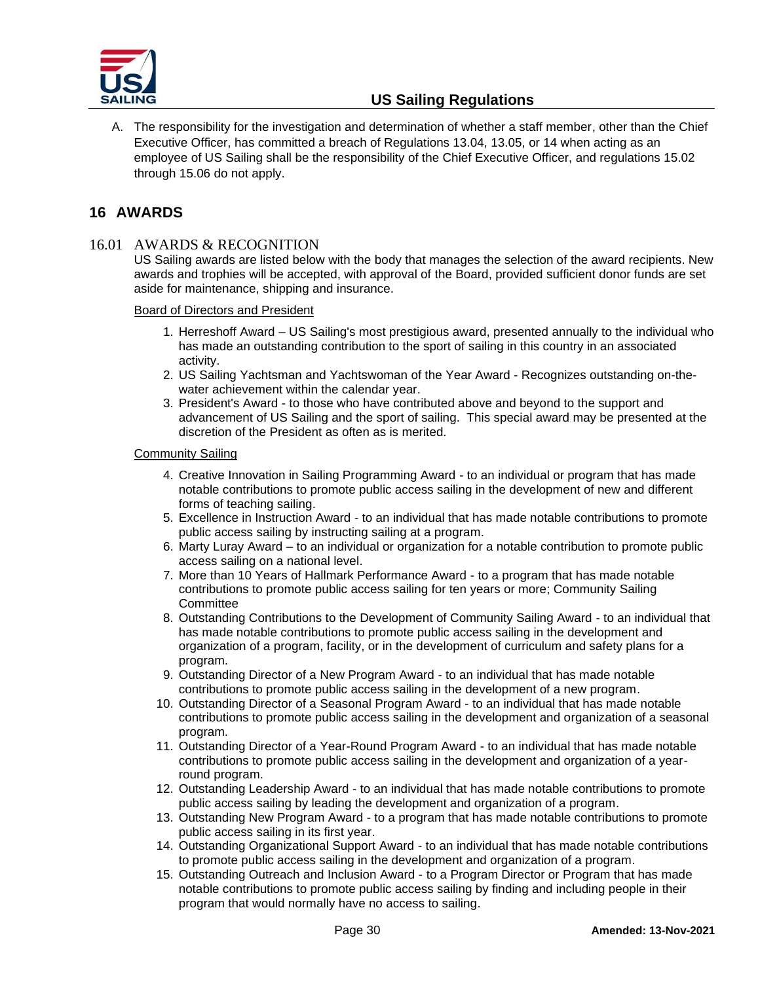

A. The responsibility for the investigation and determination of whether a staff member, other than the Chief Executive Officer, has committed a breach of Regulations 13.04, 13.05, or 14 when acting as an employee of US Sailing shall be the responsibility of the Chief Executive Officer, and regulations 15.02 through 15.06 do not apply.

# <span id="page-29-0"></span>**16 AWARDS**

## 16.01 AWARDS & RECOGNITION

US Sailing awards are listed below with the body that manages the selection of the award recipients. New awards and trophies will be accepted, with approval of the Board, provided sufficient donor funds are set aside for maintenance, shipping and insurance.

#### Board of Directors and President

- 1. Herreshoff Award US Sailing's most prestigious award, presented annually to the individual who has made an outstanding contribution to the sport of sailing in this country in an associated activity.
- 2. US Sailing Yachtsman and Yachtswoman of the Year Award Recognizes outstanding on-thewater achievement within the calendar year.
- 3. President's Award to those who have contributed above and beyond to the support and advancement of US Sailing and the sport of sailing. This special award may be presented at the discretion of the President as often as is merited.

#### Community Sailing

- 4. Creative Innovation in Sailing Programming Award to an individual or program that has made notable contributions to promote public access sailing in the development of new and different forms of teaching sailing.
- 5. Excellence in Instruction Award to an individual that has made notable contributions to promote public access sailing by instructing sailing at a program.
- 6. Marty Luray Award to an individual or organization for a notable contribution to promote public access sailing on a national level.
- 7. More than 10 Years of Hallmark Performance Award to a program that has made notable contributions to promote public access sailing for ten years or more; Community Sailing **Committee**
- 8. Outstanding Contributions to the Development of Community Sailing Award to an individual that has made notable contributions to promote public access sailing in the development and organization of a program, facility, or in the development of curriculum and safety plans for a program.
- 9. Outstanding Director of a New Program Award to an individual that has made notable contributions to promote public access sailing in the development of a new program.
- 10. Outstanding Director of a Seasonal Program Award to an individual that has made notable contributions to promote public access sailing in the development and organization of a seasonal program.
- 11. Outstanding Director of a Year-Round Program Award to an individual that has made notable contributions to promote public access sailing in the development and organization of a yearround program.
- 12. Outstanding Leadership Award to an individual that has made notable contributions to promote public access sailing by leading the development and organization of a program.
- 13. Outstanding New Program Award to a program that has made notable contributions to promote public access sailing in its first year.
- 14. Outstanding Organizational Support Award to an individual that has made notable contributions to promote public access sailing in the development and organization of a program.
- 15. Outstanding Outreach and Inclusion Award to a Program Director or Program that has made notable contributions to promote public access sailing by finding and including people in their program that would normally have no access to sailing.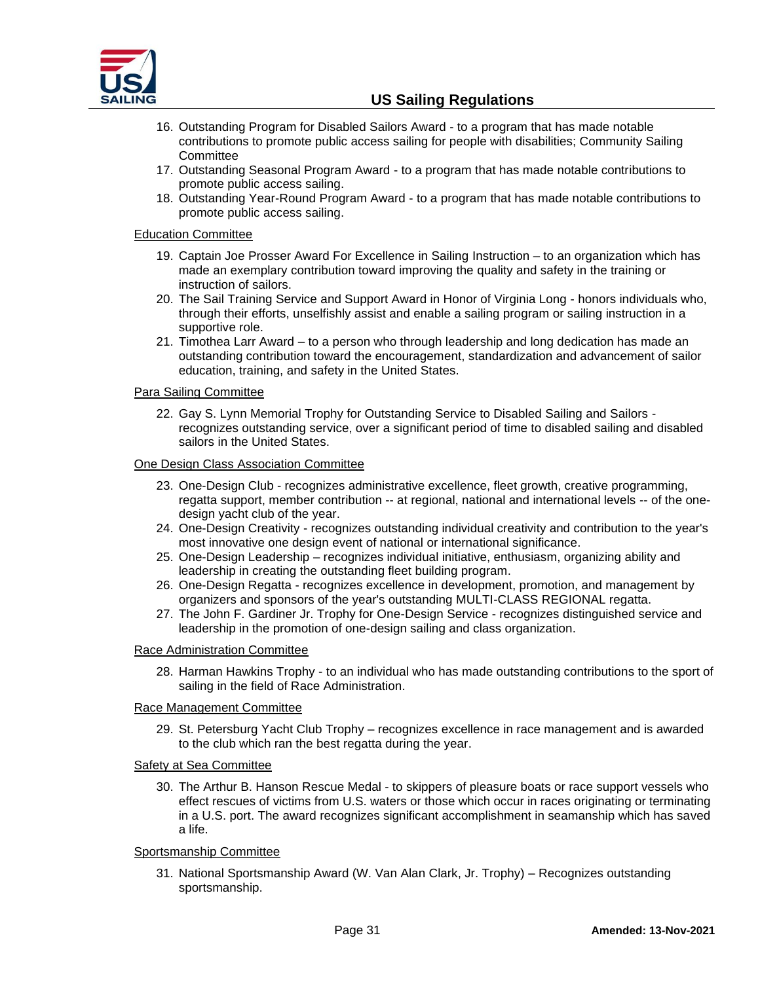

- 16. Outstanding Program for Disabled Sailors Award to a program that has made notable contributions to promote public access sailing for people with disabilities; Community Sailing **Committee**
- 17. Outstanding Seasonal Program Award to a program that has made notable contributions to promote public access sailing.
- 18. Outstanding Year-Round Program Award to a program that has made notable contributions to promote public access sailing.

#### Education Committee

- 19. Captain Joe Prosser Award For Excellence in Sailing Instruction to an organization which has made an exemplary contribution toward improving the quality and safety in the training or instruction of sailors.
- 20. The Sail Training Service and Support Award in Honor of Virginia Long honors individuals who, through their efforts, unselfishly assist and enable a sailing program or sailing instruction in a supportive role.
- 21. Timothea Larr Award to a person who through leadership and long dedication has made an outstanding contribution toward the encouragement, standardization and advancement of sailor education, training, and safety in the United States.

#### Para Sailing Committee

22. Gay S. Lynn Memorial Trophy for Outstanding Service to Disabled Sailing and Sailors recognizes outstanding service, over a significant period of time to disabled sailing and disabled sailors in the United States.

#### One Design Class Association Committee

- 23. One-Design Club recognizes administrative excellence, fleet growth, creative programming, regatta support, member contribution -- at regional, national and international levels -- of the onedesign yacht club of the year.
- 24. One-Design Creativity recognizes outstanding individual creativity and contribution to the year's most innovative one design event of national or international significance.
- 25. One-Design Leadership recognizes individual initiative, enthusiasm, organizing ability and leadership in creating the outstanding fleet building program.
- 26. One-Design Regatta recognizes excellence in development, promotion, and management by organizers and sponsors of the year's outstanding MULTI-CLASS REGIONAL regatta.
- 27. The John F. Gardiner Jr. Trophy for One-Design Service recognizes distinguished service and leadership in the promotion of one-design sailing and class organization.

#### Race Administration Committee

28. Harman Hawkins Trophy - to an individual who has made outstanding contributions to the sport of sailing in the field of Race Administration.

#### Race Management Committee

29. St. Petersburg Yacht Club Trophy – recognizes excellence in race management and is awarded to the club which ran the best regatta during the year.

#### Safety at Sea Committee

30. The [Arthur B. Hanson](http://www.ussailing.org/safety/Rescues/ABHBiography.htm_) Rescue Medal - to skippers of pleasure boats or race support vessels who effect rescues of victims from U.S. waters or those which occur in races originating or terminating in a U.S. port. The award recognizes significant accomplishment in seamanship which has saved a life.

#### Sportsmanship Committee

31. National Sportsmanship Award (W. Van Alan Clark, Jr. Trophy) – Recognizes outstanding sportsmanship.